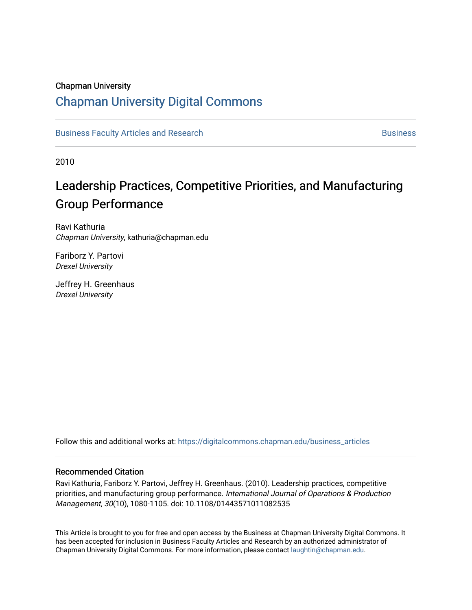### Chapman University

# [Chapman University Digital Commons](https://digitalcommons.chapman.edu/)

[Business Faculty Articles and Research](https://digitalcommons.chapman.edu/business_articles) [Business](https://digitalcommons.chapman.edu/business) **Business** Business

2010

# Leadership Practices, Competitive Priorities, and Manufacturing Group Performance

Ravi Kathuria Chapman University, kathuria@chapman.edu

Fariborz Y. Partovi Drexel University

Jeffrey H. Greenhaus Drexel University

Follow this and additional works at: [https://digitalcommons.chapman.edu/business\\_articles](https://digitalcommons.chapman.edu/business_articles?utm_source=digitalcommons.chapman.edu%2Fbusiness_articles%2F87&utm_medium=PDF&utm_campaign=PDFCoverPages) 

### Recommended Citation

Ravi Kathuria, Fariborz Y. Partovi, Jeffrey H. Greenhaus. (2010). Leadership practices, competitive priorities, and manufacturing group performance. International Journal of Operations & Production Management, 30(10), 1080-1105. doi: 10.1108/01443571011082535

This Article is brought to you for free and open access by the Business at Chapman University Digital Commons. It has been accepted for inclusion in Business Faculty Articles and Research by an authorized administrator of Chapman University Digital Commons. For more information, please contact [laughtin@chapman.edu](mailto:laughtin@chapman.edu).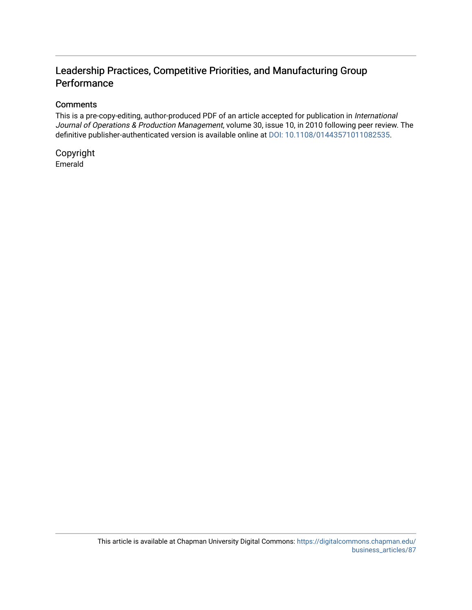## Leadership Practices, Competitive Priorities, and Manufacturing Group **Performance**

### **Comments**

This is a pre-copy-editing, author-produced PDF of an article accepted for publication in International Journal of Operations & Production Management, volume 30, issue 10, in 2010 following peer review. The definitive publisher-authenticated version is available online at [DOI: 10.1108/01443571011082535.](https://doi.org/10.1108/01443571011082535)

Copyright Emerald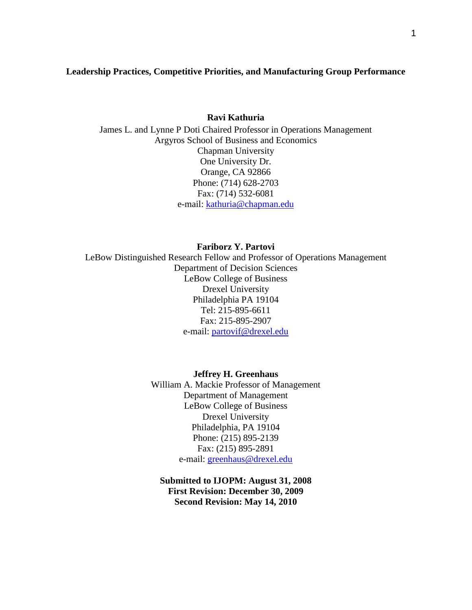### **Leadership Practices, Competitive Priorities, and Manufacturing Group Performance**

**Ravi Kathuria**

James L. and Lynne P Doti Chaired Professor in Operations Management Argyros School of Business and Economics Chapman University One University Dr. Orange, CA 92866 Phone: (714) 628-2703 Fax: (714) 532-6081 e-mail: [kathuria@chapman.edu](mailto:kathuria@chapman.edu)

**Fariborz Y. Partovi** 

LeBow Distinguished Research Fellow and Professor of Operations Management Department of Decision Sciences LeBow College of Business Drexel University Philadelphia PA 19104 Tel: 215-895-6611 Fax: 215-895-2907 e-mail: [partovif@drexel.edu](mailto:partovif@drexel.edu)

**Jeffrey H. Greenhaus**

William A. Mackie Professor of Management Department of Management LeBow College of Business Drexel University Philadelphia, PA 19104 Phone: (215) 895-2139 Fax: (215) 895-2891 e-mail: [greenhaus@drexel.edu](mailto:greenhaus@drexel.edu)

**Submitted to IJOPM: August 31, 2008 First Revision: December 30, 2009 Second Revision: May 14, 2010**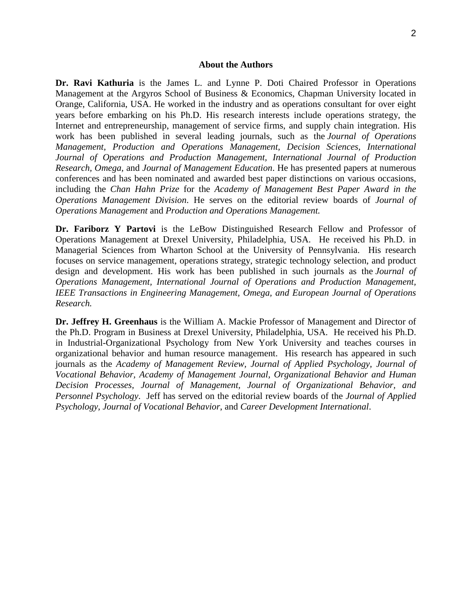#### **About the Authors**

**Dr. Ravi Kathuria** is the James L. and Lynne P. Doti Chaired Professor in Operations Management at the Argyros School of Business & Economics, Chapman University located in Orange, California, USA. He worked in the industry and as operations consultant for over eight years before embarking on his Ph.D. His research interests include operations strategy, the Internet and entrepreneurship, management of service firms, and supply chain integration. His work has been published in several leading journals, such as the *Journal of Operations Management, Production and Operations Management, Decision Sciences, International Journal of Operations and Production Management, International Journal of Production Research, Omega,* and *Journal of Management Education*. He has presented papers at numerous conferences and has been nominated and awarded best paper distinctions on various occasions, including the *Chan Hahn Prize* for the *Academy of Management Best Paper Award in the Operations Management Division*. He serves on the editorial review boards of *Journal of Operations Management* and *Production and Operations Management.*

**Dr. Fariborz Y Partovi** is the LeBow Distinguished Research Fellow and Professor of Operations Management at Drexel University, Philadelphia, USA. He received his Ph.D. in Managerial Sciences from Wharton School at the University of Pennsylvania. His research focuses on service management, operations strategy, strategic technology selection, and product design and development. His work has been published in such journals as the *Journal of Operations Management, International Journal of Operations and Production Management, IEEE Transactions in Engineering Management, Omega, and European Journal of Operations Research.*

**Dr. Jeffrey H. Greenhaus** is the William A. Mackie Professor of Management and Director of the Ph.D. Program in Business at Drexel University, Philadelphia, USA. He received his Ph.D. in Industrial-Organizational Psychology from New York University and teaches courses in organizational behavior and human resource management. His research has appeared in such journals as the *Academy of Management Review, Journal of Applied Psychology, Journal of Vocational Behavior, Academy of Management Journal, Organizational Behavior and Human Decision Processes, Journal of Management, Journal of Organizational Behavior, and Personnel Psychology*. Jeff has served on the editorial review boards of the *Journal of Applied Psychology, Journal of Vocational Behavior*, and *Career Development International*.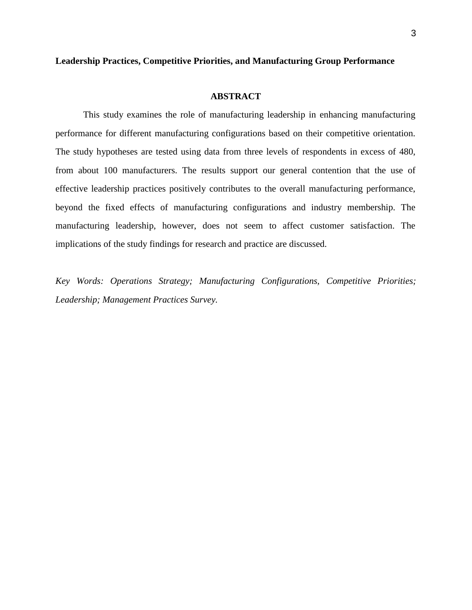### **Leadership Practices, Competitive Priorities, and Manufacturing Group Performance**

#### **ABSTRACT**

This study examines the role of manufacturing leadership in enhancing manufacturing performance for different manufacturing configurations based on their competitive orientation. The study hypotheses are tested using data from three levels of respondents in excess of 480, from about 100 manufacturers. The results support our general contention that the use of effective leadership practices positively contributes to the overall manufacturing performance, beyond the fixed effects of manufacturing configurations and industry membership. The manufacturing leadership, however, does not seem to affect customer satisfaction. The implications of the study findings for research and practice are discussed.

*Key Words: Operations Strategy; Manufacturing Configurations, Competitive Priorities; Leadership; Management Practices Survey.*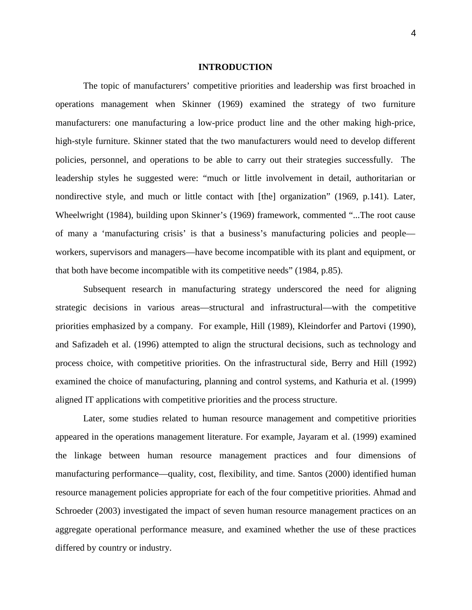### **INTRODUCTION**

The topic of manufacturers' competitive priorities and leadership was first broached in operations management when Skinner (1969) examined the strategy of two furniture manufacturers: one manufacturing a low-price product line and the other making high-price, high-style furniture. Skinner stated that the two manufacturers would need to develop different policies, personnel, and operations to be able to carry out their strategies successfully. The leadership styles he suggested were: "much or little involvement in detail, authoritarian or nondirective style, and much or little contact with [the] organization" (1969, p.141). Later, Wheelwright (1984), building upon Skinner's (1969) framework, commented "...The root cause of many a 'manufacturing crisis' is that a business's manufacturing policies and people workers, supervisors and managers—have become incompatible with its plant and equipment, or that both have become incompatible with its competitive needs" (1984, p.85).

Subsequent research in manufacturing strategy underscored the need for aligning strategic decisions in various areas—structural and infrastructural—with the competitive priorities emphasized by a company. For example, Hill (1989), Kleindorfer and Partovi (1990), and Safizadeh et al. (1996) attempted to align the structural decisions, such as technology and process choice, with competitive priorities. On the infrastructural side, Berry and Hill (1992) examined the choice of manufacturing, planning and control systems, and Kathuria et al. (1999) aligned IT applications with competitive priorities and the process structure.

Later, some studies related to human resource management and competitive priorities appeared in the operations management literature. For example, Jayaram et al. (1999) examined the linkage between human resource management practices and four dimensions of manufacturing performance—quality, cost, flexibility, and time. Santos (2000) identified human resource management policies appropriate for each of the four competitive priorities. Ahmad and Schroeder (2003) investigated the impact of seven human resource management practices on an aggregate operational performance measure, and examined whether the use of these practices differed by country or industry.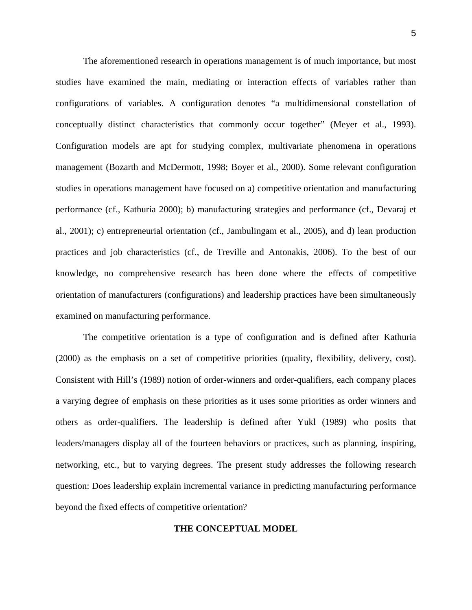The aforementioned research in operations management is of much importance, but most studies have examined the main, mediating or interaction effects of variables rather than configurations of variables. A configuration denotes "a multidimensional constellation of conceptually distinct characteristics that commonly occur together" (Meyer et al., 1993). Configuration models are apt for studying complex, multivariate phenomena in operations management (Bozarth and McDermott, 1998; Boyer et al., 2000). Some relevant configuration studies in operations management have focused on a) competitive orientation and manufacturing performance (cf., Kathuria 2000); b) manufacturing strategies and performance (cf., Devaraj et al., 2001); c) entrepreneurial orientation (cf., Jambulingam et al., 2005), and d) lean production practices and job characteristics (cf., de Treville and Antonakis, 2006). To the best of our knowledge, no comprehensive research has been done where the effects of competitive orientation of manufacturers (configurations) and leadership practices have been simultaneously examined on manufacturing performance.

The competitive orientation is a type of configuration and is defined after Kathuria (2000) as the emphasis on a set of competitive priorities (quality, flexibility, delivery, cost). Consistent with Hill's (1989) notion of order-winners and order-qualifiers, each company places a varying degree of emphasis on these priorities as it uses some priorities as order winners and others as order-qualifiers. The leadership is defined after Yukl (1989) who posits that leaders/managers display all of the fourteen behaviors or practices, such as planning, inspiring, networking, etc., but to varying degrees. The present study addresses the following research question: Does leadership explain incremental variance in predicting manufacturing performance beyond the fixed effects of competitive orientation?

### **THE CONCEPTUAL MODEL**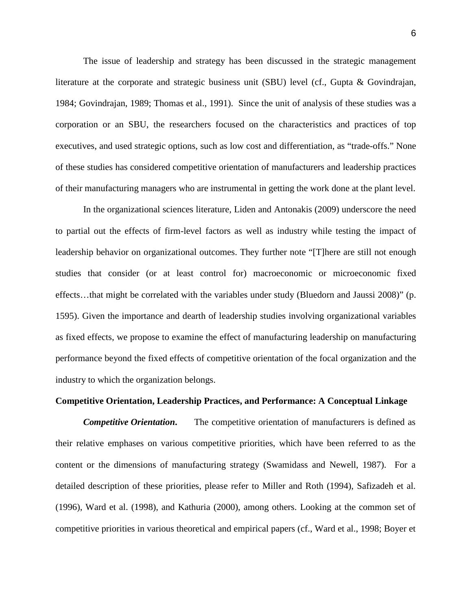The issue of leadership and strategy has been discussed in the strategic management literature at the corporate and strategic business unit (SBU) level (cf., Gupta & Govindrajan, 1984; Govindrajan, 1989; Thomas et al., 1991). Since the unit of analysis of these studies was a corporation or an SBU, the researchers focused on the characteristics and practices of top executives, and used strategic options, such as low cost and differentiation, as "trade-offs." None of these studies has considered competitive orientation of manufacturers and leadership practices of their manufacturing managers who are instrumental in getting the work done at the plant level.

In the organizational sciences literature, Liden and Antonakis (2009) underscore the need to partial out the effects of firm-level factors as well as industry while testing the impact of leadership behavior on organizational outcomes. They further note "[T]here are still not enough studies that consider (or at least control for) macroeconomic or microeconomic fixed effects…that might be correlated with the variables under study (Bluedorn and Jaussi 2008)" (p. 1595). Given the importance and dearth of leadership studies involving organizational variables as fixed effects, we propose to examine the effect of manufacturing leadership on manufacturing performance beyond the fixed effects of competitive orientation of the focal organization and the industry to which the organization belongs.

### **Competitive Orientation, Leadership Practices, and Performance: A Conceptual Linkage**

**Competitive Orientation.** The competitive orientation of manufacturers is defined as their relative emphases on various competitive priorities, which have been referred to as the content or the dimensions of manufacturing strategy (Swamidass and Newell, 1987). For a detailed description of these priorities, please refer to Miller and Roth (1994), Safizadeh et al. (1996), Ward et al. (1998), and Kathuria (2000), among others. Looking at the common set of competitive priorities in various theoretical and empirical papers (cf., Ward et al., 1998; Boyer et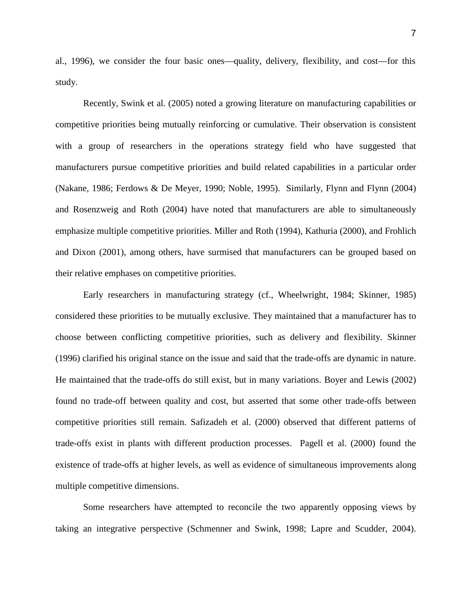al., 1996), we consider the four basic ones—quality, delivery, flexibility, and cost—for this study.

Recently, Swink et al. (2005) noted a growing literature on manufacturing capabilities or competitive priorities being mutually reinforcing or cumulative. Their observation is consistent with a group of researchers in the operations strategy field who have suggested that manufacturers pursue competitive priorities and build related capabilities in a particular order (Nakane, 1986; Ferdows & De Meyer, 1990; Noble, 1995). Similarly, Flynn and Flynn (2004) and Rosenzweig and Roth (2004) have noted that manufacturers are able to simultaneously emphasize multiple competitive priorities. Miller and Roth (1994), Kathuria (2000), and Frohlich and Dixon (2001), among others, have surmised that manufacturers can be grouped based on their relative emphases on competitive priorities.

Early researchers in manufacturing strategy (cf., Wheelwright, 1984; Skinner, 1985) considered these priorities to be mutually exclusive. They maintained that a manufacturer has to choose between conflicting competitive priorities, such as delivery and flexibility. Skinner (1996) clarified his original stance on the issue and said that the trade-offs are dynamic in nature. He maintained that the trade-offs do still exist, but in many variations. Boyer and Lewis (2002) found no trade-off between quality and cost, but asserted that some other trade-offs between competitive priorities still remain. Safizadeh et al. (2000) observed that different patterns of trade-offs exist in plants with different production processes. Pagell et al. (2000) found the existence of trade-offs at higher levels, as well as evidence of simultaneous improvements along multiple competitive dimensions.

Some researchers have attempted to reconcile the two apparently opposing views by taking an integrative perspective (Schmenner and Swink, 1998; Lapre and Scudder, 2004).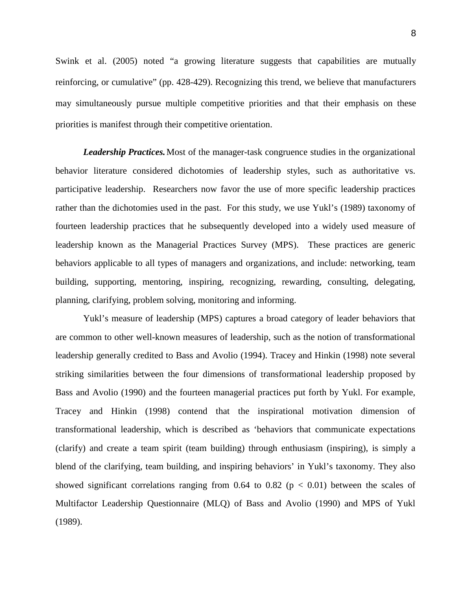Swink et al. (2005) noted "a growing literature suggests that capabilities are mutually reinforcing, or cumulative" (pp. 428-429). Recognizing this trend, we believe that manufacturers may simultaneously pursue multiple competitive priorities and that their emphasis on these priorities is manifest through their competitive orientation.

*Leadership Practices.*Most of the manager-task congruence studies in the organizational behavior literature considered dichotomies of leadership styles, such as authoritative vs. participative leadership. Researchers now favor the use of more specific leadership practices rather than the dichotomies used in the past. For this study, we use Yukl's (1989) taxonomy of fourteen leadership practices that he subsequently developed into a widely used measure of leadership known as the Managerial Practices Survey (MPS). These practices are generic behaviors applicable to all types of managers and organizations, and include: networking, team building, supporting, mentoring, inspiring, recognizing, rewarding, consulting, delegating, planning, clarifying, problem solving, monitoring and informing.

Yukl's measure of leadership (MPS) captures a broad category of leader behaviors that are common to other well-known measures of leadership, such as the notion of transformational leadership generally credited to Bass and Avolio (1994). Tracey and Hinkin (1998) note several striking similarities between the four dimensions of transformational leadership proposed by Bass and Avolio (1990) and the fourteen managerial practices put forth by Yukl. For example, Tracey and Hinkin (1998) contend that the inspirational motivation dimension of transformational leadership, which is described as 'behaviors that communicate expectations (clarify) and create a team spirit (team building) through enthusiasm (inspiring), is simply a blend of the clarifying, team building, and inspiring behaviors' in Yukl's taxonomy. They also showed significant correlations ranging from 0.64 to 0.82 ( $p < 0.01$ ) between the scales of Multifactor Leadership Questionnaire (MLQ) of Bass and Avolio (1990) and MPS of Yukl (1989).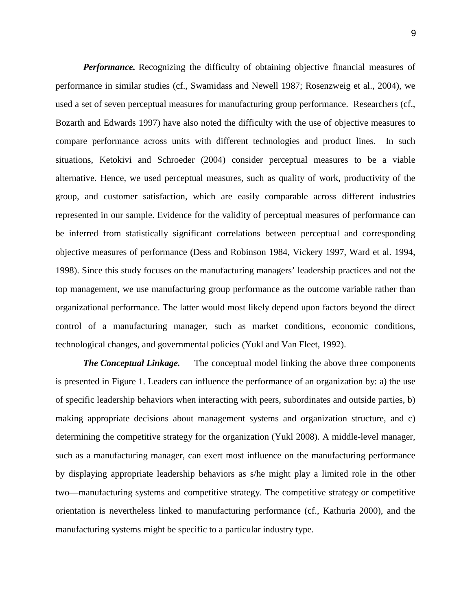**Performance.** Recognizing the difficulty of obtaining objective financial measures of performance in similar studies (cf., Swamidass and Newell 1987; Rosenzweig et al., 2004), we used a set of seven perceptual measures for manufacturing group performance. Researchers (cf., Bozarth and Edwards 1997) have also noted the difficulty with the use of objective measures to compare performance across units with different technologies and product lines. In such situations, Ketokivi and Schroeder (2004) consider perceptual measures to be a viable alternative. Hence, we used perceptual measures, such as quality of work, productivity of the group, and customer satisfaction, which are easily comparable across different industries represented in our sample. Evidence for the validity of perceptual measures of performance can be inferred from statistically significant correlations between perceptual and corresponding objective measures of performance (Dess and Robinson 1984, Vickery 1997, Ward et al. 1994, 1998). Since this study focuses on the manufacturing managers' leadership practices and not the top management, we use manufacturing group performance as the outcome variable rather than organizational performance. The latter would most likely depend upon factors beyond the direct control of a manufacturing manager, such as market conditions, economic conditions, technological changes, and governmental policies (Yukl and Van Fleet, 1992).

*The Conceptual Linkage.* The conceptual model linking the above three components is presented in Figure 1. Leaders can influence the performance of an organization by: a) the use of specific leadership behaviors when interacting with peers, subordinates and outside parties, b) making appropriate decisions about management systems and organization structure, and c) determining the competitive strategy for the organization (Yukl 2008). A middle-level manager, such as a manufacturing manager, can exert most influence on the manufacturing performance by displaying appropriate leadership behaviors as s/he might play a limited role in the other two—manufacturing systems and competitive strategy. The competitive strategy or competitive orientation is nevertheless linked to manufacturing performance (cf., Kathuria 2000), and the manufacturing systems might be specific to a particular industry type.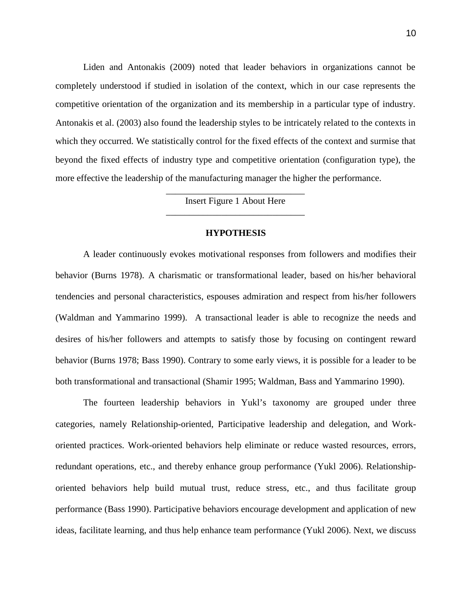Liden and Antonakis (2009) noted that leader behaviors in organizations cannot be completely understood if studied in isolation of the context, which in our case represents the competitive orientation of the organization and its membership in a particular type of industry. Antonakis et al. (2003) also found the leadership styles to be intricately related to the contexts in which they occurred. We statistically control for the fixed effects of the context and surmise that beyond the fixed effects of industry type and competitive orientation (configuration type), the more effective the leadership of the manufacturing manager the higher the performance.

> \_\_\_\_\_\_\_\_\_\_\_\_\_\_\_\_\_\_\_\_\_\_\_\_\_\_\_\_\_\_ Insert Figure 1 About Here \_\_\_\_\_\_\_\_\_\_\_\_\_\_\_\_\_\_\_\_\_\_\_\_\_\_\_\_\_\_

### **HYPOTHESIS**

A leader continuously evokes motivational responses from followers and modifies their behavior (Burns 1978). A charismatic or transformational leader, based on his/her behavioral tendencies and personal characteristics, espouses admiration and respect from his/her followers (Waldman and Yammarino 1999). A transactional leader is able to recognize the needs and desires of his/her followers and attempts to satisfy those by focusing on contingent reward behavior (Burns 1978; Bass 1990). Contrary to some early views, it is possible for a leader to be both transformational and transactional (Shamir 1995; Waldman, Bass and Yammarino 1990).

The fourteen leadership behaviors in Yukl's taxonomy are grouped under three categories, namely Relationship-oriented, Participative leadership and delegation, and Workoriented practices. Work-oriented behaviors help eliminate or reduce wasted resources, errors, redundant operations, etc., and thereby enhance group performance (Yukl 2006). Relationshiporiented behaviors help build mutual trust, reduce stress, etc., and thus facilitate group performance (Bass 1990). Participative behaviors encourage development and application of new ideas, facilitate learning, and thus help enhance team performance (Yukl 2006). Next, we discuss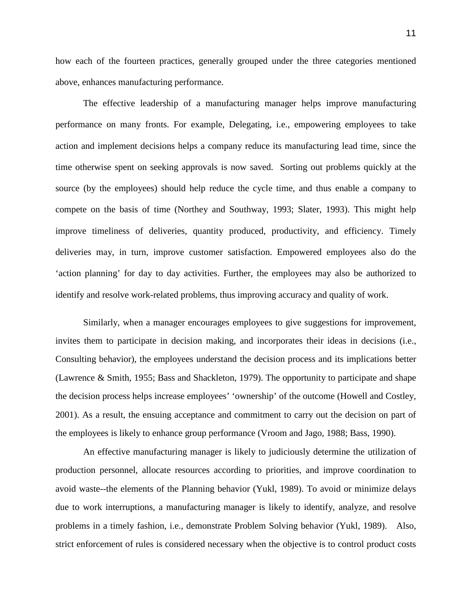how each of the fourteen practices, generally grouped under the three categories mentioned above, enhances manufacturing performance.

The effective leadership of a manufacturing manager helps improve manufacturing performance on many fronts. For example, Delegating, i.e., empowering employees to take action and implement decisions helps a company reduce its manufacturing lead time, since the time otherwise spent on seeking approvals is now saved. Sorting out problems quickly at the source (by the employees) should help reduce the cycle time, and thus enable a company to compete on the basis of time (Northey and Southway, 1993; Slater, 1993). This might help improve timeliness of deliveries, quantity produced, productivity, and efficiency. Timely deliveries may, in turn, improve customer satisfaction. Empowered employees also do the 'action planning' for day to day activities. Further, the employees may also be authorized to identify and resolve work-related problems, thus improving accuracy and quality of work.

Similarly, when a manager encourages employees to give suggestions for improvement, invites them to participate in decision making, and incorporates their ideas in decisions (i.e., Consulting behavior), the employees understand the decision process and its implications better (Lawrence & Smith, 1955; Bass and Shackleton, 1979). The opportunity to participate and shape the decision process helps increase employees' 'ownership' of the outcome (Howell and Costley, 2001). As a result, the ensuing acceptance and commitment to carry out the decision on part of the employees is likely to enhance group performance (Vroom and Jago, 1988; Bass, 1990).

An effective manufacturing manager is likely to judiciously determine the utilization of production personnel, allocate resources according to priorities, and improve coordination to avoid waste--the elements of the Planning behavior (Yukl, 1989). To avoid or minimize delays due to work interruptions, a manufacturing manager is likely to identify, analyze, and resolve problems in a timely fashion, i.e., demonstrate Problem Solving behavior (Yukl, 1989). Also, strict enforcement of rules is considered necessary when the objective is to control product costs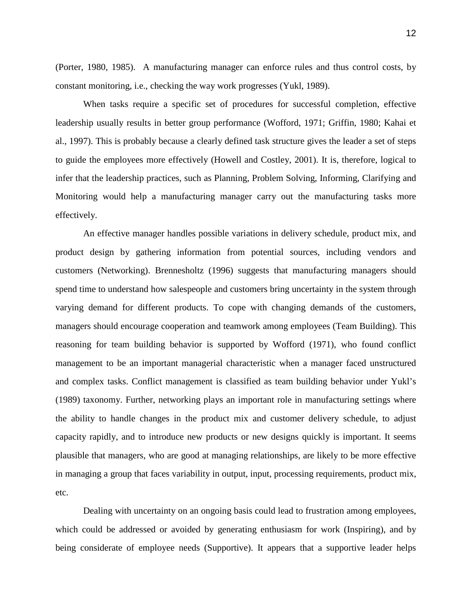(Porter, 1980, 1985). A manufacturing manager can enforce rules and thus control costs, by constant monitoring, i.e., checking the way work progresses (Yukl, 1989).

When tasks require a specific set of procedures for successful completion, effective leadership usually results in better group performance (Wofford, 1971; Griffin, 1980; Kahai et al., 1997). This is probably because a clearly defined task structure gives the leader a set of steps to guide the employees more effectively (Howell and Costley, 2001). It is, therefore, logical to infer that the leadership practices, such as Planning, Problem Solving, Informing, Clarifying and Monitoring would help a manufacturing manager carry out the manufacturing tasks more effectively.

An effective manager handles possible variations in delivery schedule, product mix, and product design by gathering information from potential sources, including vendors and customers (Networking). Brennesholtz (1996) suggests that manufacturing managers should spend time to understand how salespeople and customers bring uncertainty in the system through varying demand for different products. To cope with changing demands of the customers, managers should encourage cooperation and teamwork among employees (Team Building). This reasoning for team building behavior is supported by Wofford (1971), who found conflict management to be an important managerial characteristic when a manager faced unstructured and complex tasks. Conflict management is classified as team building behavior under Yukl's (1989) taxonomy. Further, networking plays an important role in manufacturing settings where the ability to handle changes in the product mix and customer delivery schedule, to adjust capacity rapidly, and to introduce new products or new designs quickly is important. It seems plausible that managers, who are good at managing relationships, are likely to be more effective in managing a group that faces variability in output, input, processing requirements, product mix, etc.

Dealing with uncertainty on an ongoing basis could lead to frustration among employees, which could be addressed or avoided by generating enthusiasm for work (Inspiring), and by being considerate of employee needs (Supportive). It appears that a supportive leader helps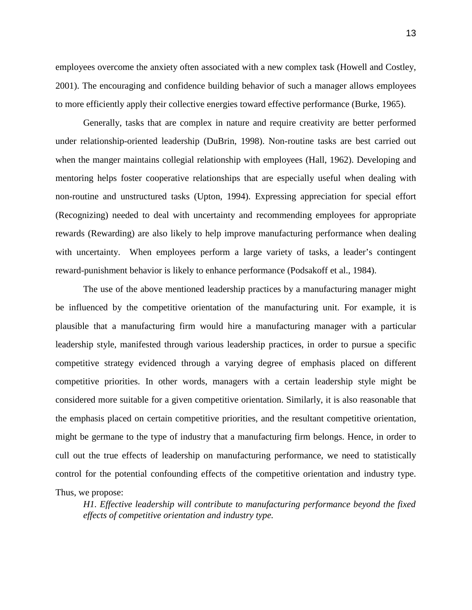employees overcome the anxiety often associated with a new complex task (Howell and Costley, 2001). The encouraging and confidence building behavior of such a manager allows employees to more efficiently apply their collective energies toward effective performance (Burke, 1965).

Generally, tasks that are complex in nature and require creativity are better performed under relationship-oriented leadership (DuBrin, 1998). Non-routine tasks are best carried out when the manger maintains collegial relationship with employees (Hall, 1962). Developing and mentoring helps foster cooperative relationships that are especially useful when dealing with non-routine and unstructured tasks (Upton, 1994). Expressing appreciation for special effort (Recognizing) needed to deal with uncertainty and recommending employees for appropriate rewards (Rewarding) are also likely to help improve manufacturing performance when dealing with uncertainty. When employees perform a large variety of tasks, a leader's contingent reward-punishment behavior is likely to enhance performance (Podsakoff et al., 1984).

The use of the above mentioned leadership practices by a manufacturing manager might be influenced by the competitive orientation of the manufacturing unit. For example, it is plausible that a manufacturing firm would hire a manufacturing manager with a particular leadership style, manifested through various leadership practices, in order to pursue a specific competitive strategy evidenced through a varying degree of emphasis placed on different competitive priorities. In other words, managers with a certain leadership style might be considered more suitable for a given competitive orientation. Similarly, it is also reasonable that the emphasis placed on certain competitive priorities, and the resultant competitive orientation, might be germane to the type of industry that a manufacturing firm belongs. Hence, in order to cull out the true effects of leadership on manufacturing performance, we need to statistically control for the potential confounding effects of the competitive orientation and industry type. Thus, we propose:

*H1. Effective leadership will contribute to manufacturing performance beyond the fixed effects of competitive orientation and industry type.*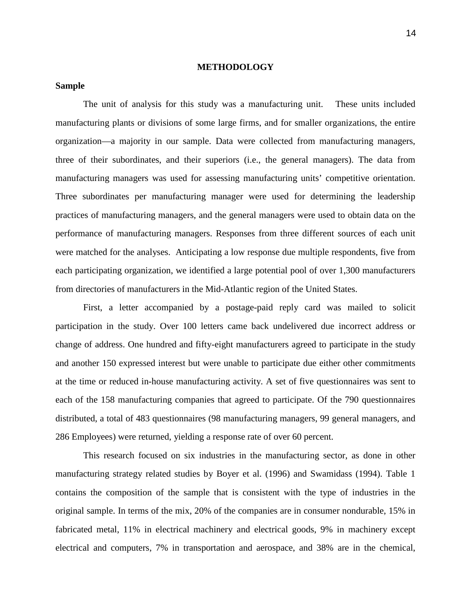### **METHODOLOGY**

### **Sample**

The unit of analysis for this study was a manufacturing unit. These units included manufacturing plants or divisions of some large firms, and for smaller organizations, the entire organization—a majority in our sample. Data were collected from manufacturing managers, three of their subordinates, and their superiors (i.e., the general managers). The data from manufacturing managers was used for assessing manufacturing units' competitive orientation. Three subordinates per manufacturing manager were used for determining the leadership practices of manufacturing managers, and the general managers were used to obtain data on the performance of manufacturing managers. Responses from three different sources of each unit were matched for the analyses. Anticipating a low response due multiple respondents, five from each participating organization, we identified a large potential pool of over 1,300 manufacturers from directories of manufacturers in the Mid-Atlantic region of the United States.

First, a letter accompanied by a postage-paid reply card was mailed to solicit participation in the study. Over 100 letters came back undelivered due incorrect address or change of address. One hundred and fifty-eight manufacturers agreed to participate in the study and another 150 expressed interest but were unable to participate due either other commitments at the time or reduced in-house manufacturing activity. A set of five questionnaires was sent to each of the 158 manufacturing companies that agreed to participate. Of the 790 questionnaires distributed, a total of 483 questionnaires (98 manufacturing managers, 99 general managers, and 286 Employees) were returned, yielding a response rate of over 60 percent.

This research focused on six industries in the manufacturing sector, as done in other manufacturing strategy related studies by Boyer et al. (1996) and Swamidass (1994). Table 1 contains the composition of the sample that is consistent with the type of industries in the original sample. In terms of the mix, 20% of the companies are in consumer nondurable, 15% in fabricated metal, 11% in electrical machinery and electrical goods, 9% in machinery except electrical and computers, 7% in transportation and aerospace, and 38% are in the chemical,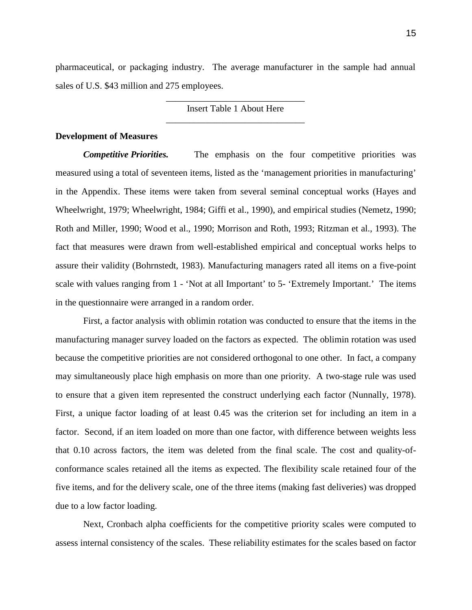pharmaceutical, or packaging industry. The average manufacturer in the sample had annual sales of U.S. \$43 million and 275 employees.

> \_\_\_\_\_\_\_\_\_\_\_\_\_\_\_\_\_\_\_\_\_\_\_\_\_\_\_\_\_\_ Insert Table 1 About Here \_\_\_\_\_\_\_\_\_\_\_\_\_\_\_\_\_\_\_\_\_\_\_\_\_\_\_\_\_\_

### **Development of Measures**

*Competitive Priorities.* The emphasis on the four competitive priorities was measured using a total of seventeen items, listed as the 'management priorities in manufacturing' in the Appendix. These items were taken from several seminal conceptual works (Hayes and Wheelwright, 1979; Wheelwright, 1984; Giffi et al., 1990), and empirical studies (Nemetz, 1990; Roth and Miller, 1990; Wood et al., 1990; Morrison and Roth, 1993; Ritzman et al., 1993). The fact that measures were drawn from well-established empirical and conceptual works helps to assure their validity (Bohrnstedt, 1983). Manufacturing managers rated all items on a five-point scale with values ranging from 1 - 'Not at all Important' to 5- 'Extremely Important.' The items in the questionnaire were arranged in a random order.

First, a factor analysis with oblimin rotation was conducted to ensure that the items in the manufacturing manager survey loaded on the factors as expected. The oblimin rotation was used because the competitive priorities are not considered orthogonal to one other. In fact, a company may simultaneously place high emphasis on more than one priority. A two-stage rule was used to ensure that a given item represented the construct underlying each factor (Nunnally, 1978). First, a unique factor loading of at least 0.45 was the criterion set for including an item in a factor. Second, if an item loaded on more than one factor, with difference between weights less that 0.10 across factors, the item was deleted from the final scale. The cost and quality-ofconformance scales retained all the items as expected. The flexibility scale retained four of the five items, and for the delivery scale, one of the three items (making fast deliveries) was dropped due to a low factor loading.

Next, Cronbach alpha coefficients for the competitive priority scales were computed to assess internal consistency of the scales. These reliability estimates for the scales based on factor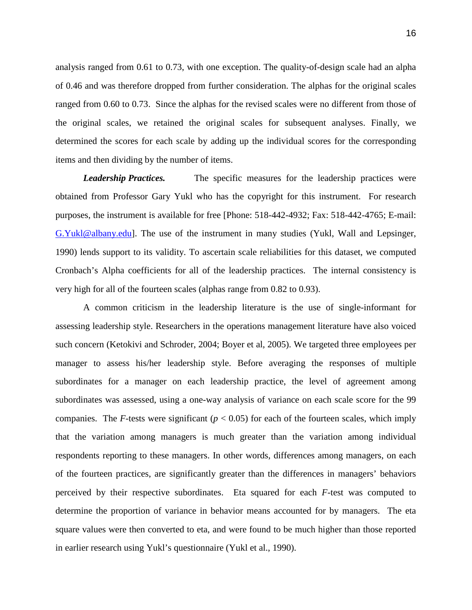analysis ranged from 0.61 to 0.73, with one exception. The quality-of-design scale had an alpha of 0.46 and was therefore dropped from further consideration. The alphas for the original scales ranged from 0.60 to 0.73. Since the alphas for the revised scales were no different from those of the original scales, we retained the original scales for subsequent analyses. Finally, we determined the scores for each scale by adding up the individual scores for the corresponding items and then dividing by the number of items.

*Leadership Practices.* The specific measures for the leadership practices were obtained from Professor Gary Yukl who has the copyright for this instrument. For research purposes, the instrument is available for free [Phone: 518-442-4932; Fax: 518-442-4765; E-mail: G. Yukl@albany.edu]. The use of the instrument in many studies (Yukl, Wall and Lepsinger, 1990) lends support to its validity. To ascertain scale reliabilities for this dataset, we computed Cronbach's Alpha coefficients for all of the leadership practices. The internal consistency is very high for all of the fourteen scales (alphas range from 0.82 to 0.93).

A common criticism in the leadership literature is the use of single-informant for assessing leadership style. Researchers in the operations management literature have also voiced such concern (Ketokivi and Schroder, 2004; Boyer et al, 2005). We targeted three employees per manager to assess his/her leadership style. Before averaging the responses of multiple subordinates for a manager on each leadership practice, the level of agreement among subordinates was assessed, using a one-way analysis of variance on each scale score for the 99 companies. The *F*-tests were significant ( $p < 0.05$ ) for each of the fourteen scales, which imply that the variation among managers is much greater than the variation among individual respondents reporting to these managers. In other words, differences among managers, on each of the fourteen practices, are significantly greater than the differences in managers' behaviors perceived by their respective subordinates. Eta squared for each *F*-test was computed to determine the proportion of variance in behavior means accounted for by managers. The eta square values were then converted to eta, and were found to be much higher than those reported in earlier research using Yukl's questionnaire (Yukl et al., 1990).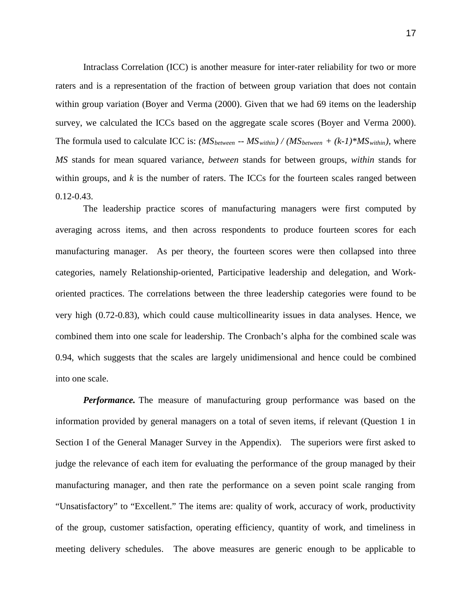Intraclass Correlation (ICC) is another measure for inter-rater reliability for two or more raters and is a representation of the fraction of between group variation that does not contain within group variation (Boyer and Verma (2000). Given that we had 69 items on the leadership survey, we calculated the ICCs based on the aggregate scale scores (Boyer and Verma 2000). The formula used to calculate ICC is:  $(MS_{between} - MS_{within}) / (MS_{between} + (k-1) * MS_{within})$ , where *MS* stands for mean squared variance, *between* stands for between groups, *within* stands for within groups, and *k* is the number of raters. The ICCs for the fourteen scales ranged between 0.12-0.43.

The leadership practice scores of manufacturing managers were first computed by averaging across items, and then across respondents to produce fourteen scores for each manufacturing manager. As per theory, the fourteen scores were then collapsed into three categories, namely Relationship-oriented, Participative leadership and delegation, and Workoriented practices. The correlations between the three leadership categories were found to be very high (0.72-0.83), which could cause multicollinearity issues in data analyses. Hence, we combined them into one scale for leadership. The Cronbach's alpha for the combined scale was 0.94, which suggests that the scales are largely unidimensional and hence could be combined into one scale.

*Performance.* The measure of manufacturing group performance was based on the information provided by general managers on a total of seven items, if relevant (Question 1 in Section I of the General Manager Survey in the Appendix). The superiors were first asked to judge the relevance of each item for evaluating the performance of the group managed by their manufacturing manager, and then rate the performance on a seven point scale ranging from "Unsatisfactory" to "Excellent." The items are: quality of work, accuracy of work, productivity of the group, customer satisfaction, operating efficiency, quantity of work, and timeliness in meeting delivery schedules. The above measures are generic enough to be applicable to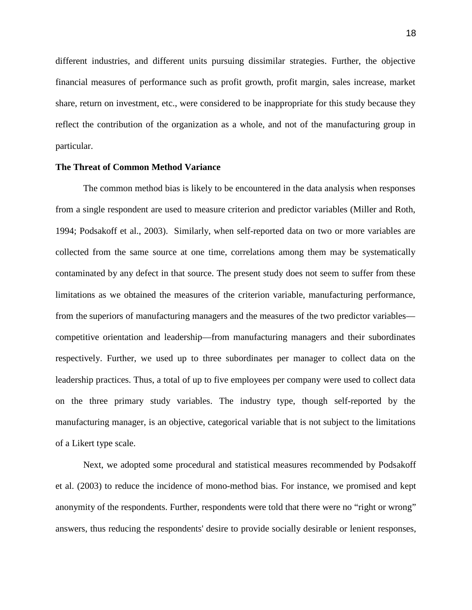different industries, and different units pursuing dissimilar strategies. Further, the objective financial measures of performance such as profit growth, profit margin, sales increase, market share, return on investment, etc., were considered to be inappropriate for this study because they reflect the contribution of the organization as a whole, and not of the manufacturing group in particular.

### **The Threat of Common Method Variance**

The common method bias is likely to be encountered in the data analysis when responses from a single respondent are used to measure criterion and predictor variables (Miller and Roth, 1994; Podsakoff et al., 2003). Similarly, when self-reported data on two or more variables are collected from the same source at one time, correlations among them may be systematically contaminated by any defect in that source. The present study does not seem to suffer from these limitations as we obtained the measures of the criterion variable, manufacturing performance, from the superiors of manufacturing managers and the measures of the two predictor variables competitive orientation and leadership—from manufacturing managers and their subordinates respectively. Further, we used up to three subordinates per manager to collect data on the leadership practices. Thus, a total of up to five employees per company were used to collect data on the three primary study variables. The industry type, though self-reported by the manufacturing manager, is an objective, categorical variable that is not subject to the limitations of a Likert type scale.

Next, we adopted some procedural and statistical measures recommended by Podsakoff et al. (2003) to reduce the incidence of mono-method bias. For instance, we promised and kept anonymity of the respondents. Further, respondents were told that there were no "right or wrong" answers, thus reducing the respondents' desire to provide socially desirable or lenient responses,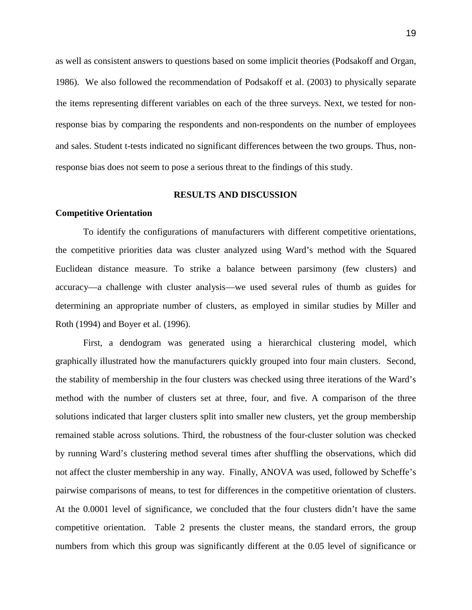as well as consistent answers to questions based on some implicit theories (Podsakoff and Organ, 1986). We also followed the recommendation of Podsakoff et al. (2003) to physically separate the items representing different variables on each of the three surveys. Next, we tested for nonresponse bias by comparing the respondents and non-respondents on the number of employees and sales. Student t-tests indicated no significant differences between the two groups. Thus, nonresponse bias does not seem to pose a serious threat to the findings of this study.

### **RESULTS AND DISCUSSION**

### **Competitive Orientation**

To identify the configurations of manufacturers with different competitive orientations, the competitive priorities data was cluster analyzed using Ward's method with the Squared Euclidean distance measure. To strike a balance between parsimony (few clusters) and accuracy—a challenge with cluster analysis—we used several rules of thumb as guides for determining an appropriate number of clusters, as employed in similar studies by Miller and Roth (1994) and Boyer et al. (1996).

First, a dendogram was generated using a hierarchical clustering model, which graphically illustrated how the manufacturers quickly grouped into four main clusters. Second, the stability of membership in the four clusters was checked using three iterations of the Ward's method with the number of clusters set at three, four, and five. A comparison of the three solutions indicated that larger clusters split into smaller new clusters, yet the group membership remained stable across solutions. Third, the robustness of the four-cluster solution was checked by running Ward's clustering method several times after shuffling the observations, which did not affect the cluster membership in any way. Finally, ANOVA was used, followed by Scheffe's pairwise comparisons of means, to test for differences in the competitive orientation of clusters. At the 0.0001 level of significance, we concluded that the four clusters didn't have the same competitive orientation. Table 2 presents the cluster means, the standard errors, the group numbers from which this group was significantly different at the 0.05 level of significance or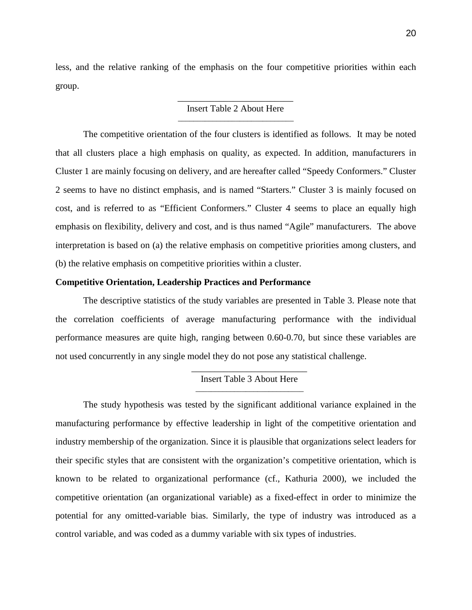less, and the relative ranking of the emphasis on the four competitive priorities within each group.

### \_\_\_\_\_\_\_\_\_\_\_\_\_\_\_\_\_\_\_\_\_\_\_\_\_ Insert Table 2 About Here \_\_\_\_\_\_\_\_\_\_\_\_\_\_\_\_\_\_\_\_\_\_\_\_\_\_\_\_\_\_

The competitive orientation of the four clusters is identified as follows. It may be noted that all clusters place a high emphasis on quality, as expected. In addition, manufacturers in Cluster 1 are mainly focusing on delivery, and are hereafter called "Speedy Conformers." Cluster 2 seems to have no distinct emphasis, and is named "Starters." Cluster 3 is mainly focused on cost, and is referred to as "Efficient Conformers." Cluster 4 seems to place an equally high emphasis on flexibility, delivery and cost, and is thus named "Agile" manufacturers. The above interpretation is based on (a) the relative emphasis on competitive priorities among clusters, and (b) the relative emphasis on competitive priorities within a cluster.

### **Competitive Orientation, Leadership Practices and Performance**

The descriptive statistics of the study variables are presented in Table 3. Please note that the correlation coefficients of average manufacturing performance with the individual performance measures are quite high, ranging between 0.60-0.70, but since these variables are not used concurrently in any single model they do not pose any statistical challenge.

### \_\_\_\_\_\_\_\_\_\_\_\_\_\_\_\_\_\_\_\_\_\_\_\_\_ Insert Table 3 About Here \_\_\_\_\_\_\_\_\_\_\_\_\_\_\_\_\_\_\_\_\_\_\_\_\_\_\_\_

The study hypothesis was tested by the significant additional variance explained in the manufacturing performance by effective leadership in light of the competitive orientation and industry membership of the organization. Since it is plausible that organizations select leaders for their specific styles that are consistent with the organization's competitive orientation, which is known to be related to organizational performance (cf., Kathuria 2000), we included the competitive orientation (an organizational variable) as a fixed-effect in order to minimize the potential for any omitted-variable bias. Similarly, the type of industry was introduced as a control variable, and was coded as a dummy variable with six types of industries.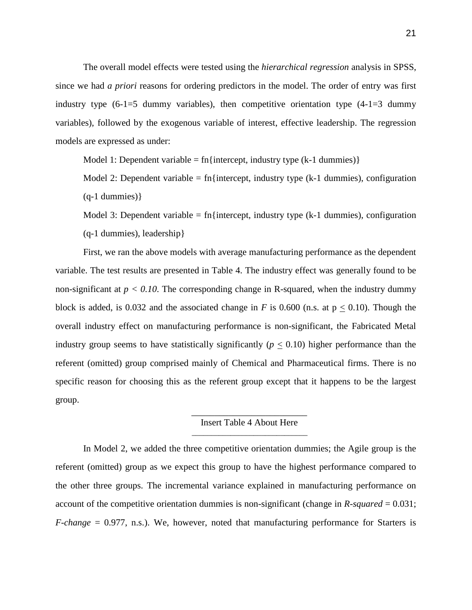The overall model effects were tested using the *hierarchical regression* analysis in SPSS, since we had *a priori* reasons for ordering predictors in the model. The order of entry was first industry type  $(6-1=5$  dummy variables), then competitive orientation type  $(4-1=3)$  dummy variables), followed by the exogenous variable of interest, effective leadership. The regression models are expressed as under:

Model 1: Dependent variable = fn{intercept, industry type  $(k-1$  dummies)}

Model 2: Dependent variable = fn{intercept, industry type  $(k-1)$  dummies), configuration (q-1 dummies)}

Model 3: Dependent variable = fn{intercept, industry type (k-1 dummies), configuration (q-1 dummies), leadership}

First, we ran the above models with average manufacturing performance as the dependent variable. The test results are presented in Table 4. The industry effect was generally found to be non-significant at  $p < 0.10$ . The corresponding change in R-squared, when the industry dummy block is added, is 0.032 and the associated change in *F* is 0.600 (n.s. at  $p \le 0.10$ ). Though the overall industry effect on manufacturing performance is non-significant, the Fabricated Metal industry group seems to have statistically significantly ( $p \leq 0.10$ ) higher performance than the referent (omitted) group comprised mainly of Chemical and Pharmaceutical firms. There is no specific reason for choosing this as the referent group except that it happens to be the largest group.

### \_\_\_\_\_\_\_\_\_\_\_\_\_\_\_\_\_\_\_\_\_\_\_\_\_ Insert Table 4 About Here \_\_\_\_\_\_\_\_\_\_\_\_\_\_\_\_\_\_\_\_\_\_\_\_\_\_\_\_\_\_

In Model 2, we added the three competitive orientation dummies; the Agile group is the referent (omitted) group as we expect this group to have the highest performance compared to the other three groups. The incremental variance explained in manufacturing performance on account of the competitive orientation dummies is non-significant (change in *R-squared* = 0.031; *F-change* = 0.977, n.s.). We, however, noted that manufacturing performance for Starters is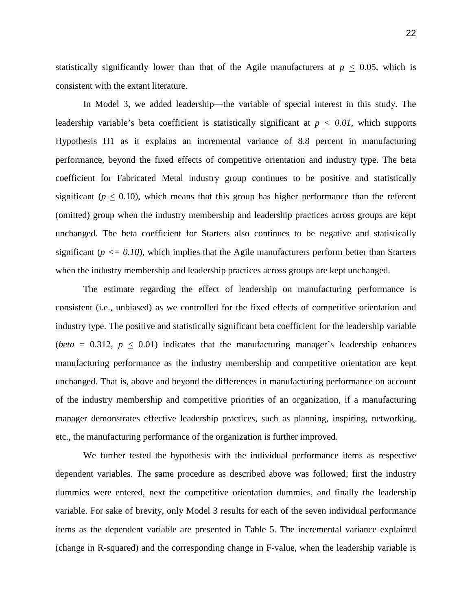statistically significantly lower than that of the Agile manufacturers at  $p \leq 0.05$ , which is consistent with the extant literature.

In Model 3, we added leadership—the variable of special interest in this study. The leadership variable's beta coefficient is statistically significant at  $p \leq 0.01$ , which supports Hypothesis H1 as it explains an incremental variance of 8.8 percent in manufacturing performance, beyond the fixed effects of competitive orientation and industry type. The beta coefficient for Fabricated Metal industry group continues to be positive and statistically significant ( $p \leq 0.10$ ), which means that this group has higher performance than the referent (omitted) group when the industry membership and leadership practices across groups are kept unchanged. The beta coefficient for Starters also continues to be negative and statistically significant ( $p \le 0.10$ ), which implies that the Agile manufacturers perform better than Starters when the industry membership and leadership practices across groups are kept unchanged.

The estimate regarding the effect of leadership on manufacturing performance is consistent (i.e., unbiased) as we controlled for the fixed effects of competitive orientation and industry type. The positive and statistically significant beta coefficient for the leadership variable (*beta* = 0.312,  $p \le 0.01$ ) indicates that the manufacturing manager's leadership enhances manufacturing performance as the industry membership and competitive orientation are kept unchanged. That is, above and beyond the differences in manufacturing performance on account of the industry membership and competitive priorities of an organization, if a manufacturing manager demonstrates effective leadership practices, such as planning, inspiring, networking, etc., the manufacturing performance of the organization is further improved.

We further tested the hypothesis with the individual performance items as respective dependent variables. The same procedure as described above was followed; first the industry dummies were entered, next the competitive orientation dummies, and finally the leadership variable. For sake of brevity, only Model 3 results for each of the seven individual performance items as the dependent variable are presented in Table 5. The incremental variance explained (change in R-squared) and the corresponding change in F-value, when the leadership variable is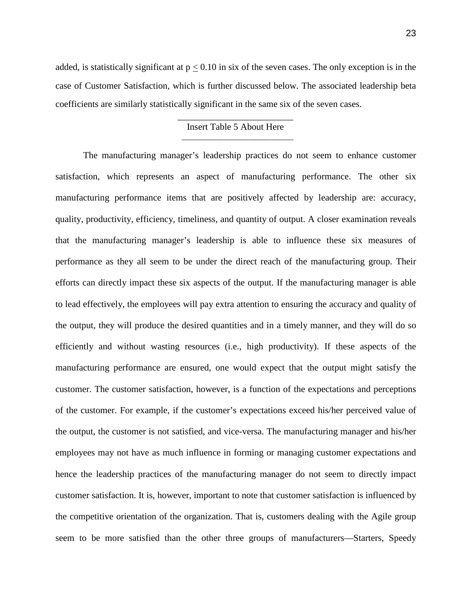added, is statistically significant at  $p \le 0.10$  in six of the seven cases. The only exception is in the case of Customer Satisfaction, which is further discussed below. The associated leadership beta coefficients are similarly statistically significant in the same six of the seven cases.

### \_\_\_\_\_\_\_\_\_\_\_\_\_\_\_\_\_\_\_\_\_\_\_\_\_ Insert Table 5 About Here \_\_\_\_\_\_\_\_\_\_\_\_\_\_\_\_\_\_\_\_\_\_\_\_\_\_\_\_\_

The manufacturing manager's leadership practices do not seem to enhance customer satisfaction, which represents an aspect of manufacturing performance. The other six manufacturing performance items that are positively affected by leadership are: accuracy, quality, productivity, efficiency, timeliness, and quantity of output. A closer examination reveals that the manufacturing manager's leadership is able to influence these six measures of performance as they all seem to be under the direct reach of the manufacturing group. Their efforts can directly impact these six aspects of the output. If the manufacturing manager is able to lead effectively, the employees will pay extra attention to ensuring the accuracy and quality of the output, they will produce the desired quantities and in a timely manner, and they will do so efficiently and without wasting resources (i.e., high productivity). If these aspects of the manufacturing performance are ensured, one would expect that the output might satisfy the customer. The customer satisfaction, however, is a function of the expectations and perceptions of the customer. For example, if the customer's expectations exceed his/her perceived value of the output, the customer is not satisfied, and vice-versa. The manufacturing manager and his/her employees may not have as much influence in forming or managing customer expectations and hence the leadership practices of the manufacturing manager do not seem to directly impact customer satisfaction. It is, however, important to note that customer satisfaction is influenced by the competitive orientation of the organization. That is, customers dealing with the Agile group seem to be more satisfied than the other three groups of manufacturers—Starters, Speedy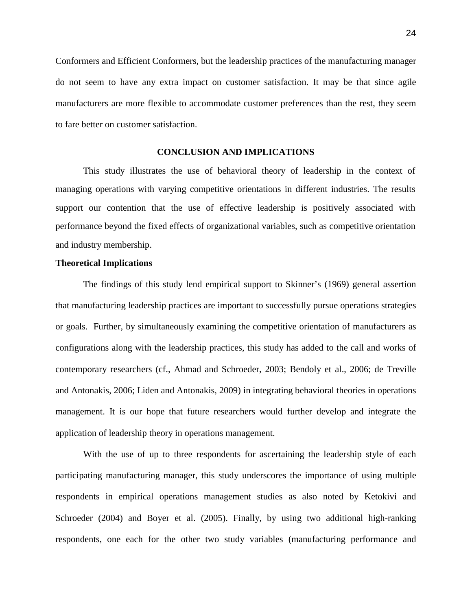Conformers and Efficient Conformers, but the leadership practices of the manufacturing manager do not seem to have any extra impact on customer satisfaction. It may be that since agile manufacturers are more flexible to accommodate customer preferences than the rest, they seem to fare better on customer satisfaction.

### **CONCLUSION AND IMPLICATIONS**

This study illustrates the use of behavioral theory of leadership in the context of managing operations with varying competitive orientations in different industries. The results support our contention that the use of effective leadership is positively associated with performance beyond the fixed effects of organizational variables, such as competitive orientation and industry membership.

### **Theoretical Implications**

The findings of this study lend empirical support to Skinner's (1969) general assertion that manufacturing leadership practices are important to successfully pursue operations strategies or goals. Further, by simultaneously examining the competitive orientation of manufacturers as configurations along with the leadership practices, this study has added to the call and works of contemporary researchers (cf., Ahmad and Schroeder, 2003; Bendoly et al., 2006; de Treville and Antonakis, 2006; Liden and Antonakis, 2009) in integrating behavioral theories in operations management. It is our hope that future researchers would further develop and integrate the application of leadership theory in operations management.

With the use of up to three respondents for ascertaining the leadership style of each participating manufacturing manager, this study underscores the importance of using multiple respondents in empirical operations management studies as also noted by Ketokivi and Schroeder (2004) and Boyer et al. (2005). Finally, by using two additional high-ranking respondents, one each for the other two study variables (manufacturing performance and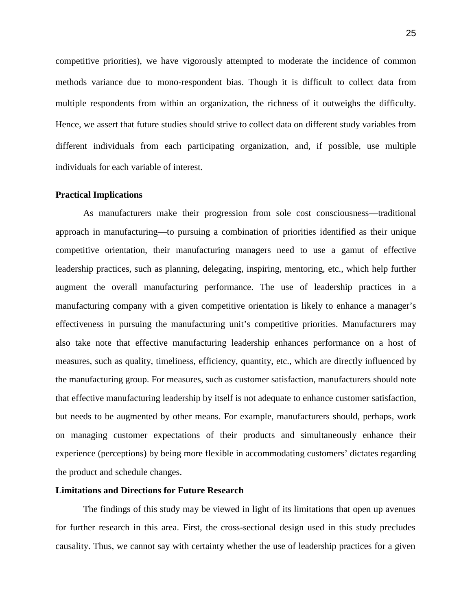competitive priorities), we have vigorously attempted to moderate the incidence of common methods variance due to mono-respondent bias. Though it is difficult to collect data from multiple respondents from within an organization, the richness of it outweighs the difficulty. Hence, we assert that future studies should strive to collect data on different study variables from different individuals from each participating organization, and, if possible, use multiple individuals for each variable of interest.

### **Practical Implications**

As manufacturers make their progression from sole cost consciousness—traditional approach in manufacturing—to pursuing a combination of priorities identified as their unique competitive orientation, their manufacturing managers need to use a gamut of effective leadership practices, such as planning, delegating, inspiring, mentoring, etc., which help further augment the overall manufacturing performance. The use of leadership practices in a manufacturing company with a given competitive orientation is likely to enhance a manager's effectiveness in pursuing the manufacturing unit's competitive priorities. Manufacturers may also take note that effective manufacturing leadership enhances performance on a host of measures, such as quality, timeliness, efficiency, quantity, etc., which are directly influenced by the manufacturing group. For measures, such as customer satisfaction, manufacturers should note that effective manufacturing leadership by itself is not adequate to enhance customer satisfaction, but needs to be augmented by other means. For example, manufacturers should, perhaps, work on managing customer expectations of their products and simultaneously enhance their experience (perceptions) by being more flexible in accommodating customers' dictates regarding the product and schedule changes.

#### **Limitations and Directions for Future Research**

The findings of this study may be viewed in light of its limitations that open up avenues for further research in this area. First, the cross-sectional design used in this study precludes causality. Thus, we cannot say with certainty whether the use of leadership practices for a given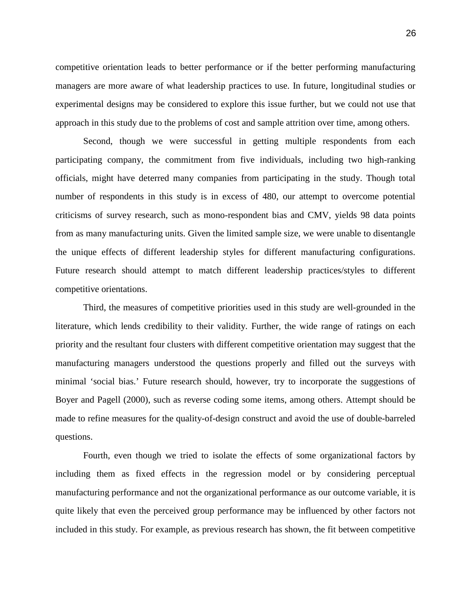competitive orientation leads to better performance or if the better performing manufacturing managers are more aware of what leadership practices to use. In future, longitudinal studies or experimental designs may be considered to explore this issue further, but we could not use that approach in this study due to the problems of cost and sample attrition over time, among others.

Second, though we were successful in getting multiple respondents from each participating company, the commitment from five individuals, including two high-ranking officials, might have deterred many companies from participating in the study. Though total number of respondents in this study is in excess of 480, our attempt to overcome potential criticisms of survey research, such as mono-respondent bias and CMV, yields 98 data points from as many manufacturing units. Given the limited sample size, we were unable to disentangle the unique effects of different leadership styles for different manufacturing configurations. Future research should attempt to match different leadership practices/styles to different competitive orientations.

Third, the measures of competitive priorities used in this study are well-grounded in the literature, which lends credibility to their validity. Further, the wide range of ratings on each priority and the resultant four clusters with different competitive orientation may suggest that the manufacturing managers understood the questions properly and filled out the surveys with minimal 'social bias.' Future research should, however, try to incorporate the suggestions of Boyer and Pagell (2000), such as reverse coding some items, among others. Attempt should be made to refine measures for the quality-of-design construct and avoid the use of double-barreled questions.

Fourth, even though we tried to isolate the effects of some organizational factors by including them as fixed effects in the regression model or by considering perceptual manufacturing performance and not the organizational performance as our outcome variable, it is quite likely that even the perceived group performance may be influenced by other factors not included in this study. For example, as previous research has shown, the fit between competitive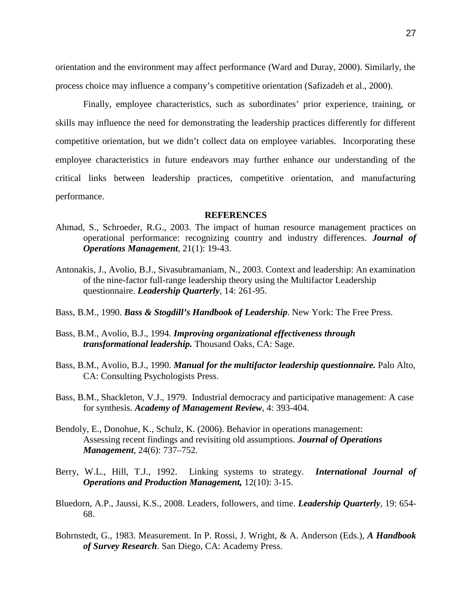orientation and the environment may affect performance (Ward and Duray, 2000). Similarly, the process choice may influence a company's competitive orientation (Safizadeh et al., 2000).

Finally, employee characteristics, such as subordinates' prior experience, training, or skills may influence the need for demonstrating the leadership practices differently for different competitive orientation, but we didn't collect data on employee variables. Incorporating these employee characteristics in future endeavors may further enhance our understanding of the critical links between leadership practices, competitive orientation, and manufacturing performance.

### **REFERENCES**

- Ahmad, S., Schroeder, R.G., 2003. The impact of human resource management practices on operational performance: recognizing country and industry differences. *Journal of Operations Management*, 21(1): 19-43.
- Antonakis, J., Avolio, B.J., Sivasubramaniam, N., 2003. Context and leadership: An examination of the nine-factor full-range leadership theory using the Multifactor Leadership questionnaire. *Leadership Quarterly*, 14: 261-95.
- Bass, B.M., 1990. *Bass & Stogdill's Handbook of Leadership*. New York: The Free Press.
- Bass, B.M., Avolio, B.J., 1994. *Improving organizational effectiveness through transformational leadership.* Thousand Oaks, CA: Sage.
- Bass, B.M., Avolio, B.J., 1990. *Manual for the multifactor leadership questionnaire.* Palo Alto, CA: Consulting Psychologists Press.
- Bass, B.M., Shackleton, V.J., 1979. Industrial democracy and participative management: A case for synthesis. *Academy of Management Review*, 4: 393-404.
- Bendoly, E., Donohue, K., Schulz, K. (2006). Behavior in operations management: Assessing recent findings and revisiting old assumptions. *Journal of Operations Management*, 24(6): 737–752.
- Berry, W.L., Hill, T.J., 1992. Linking systems to strategy. *International Journal of Operations and Production Management,* 12(10): 3-15.
- Bluedorn, A.P., Jaussi, K.S., 2008. Leaders, followers, and time. *Leadership Quarterly*, 19: 654- 68.
- Bohrnstedt, G., 1983. Measurement. In P. Rossi, J. Wright, & A. Anderson (Eds.), *A Handbook of Survey Research*. San Diego, CA: Academy Press.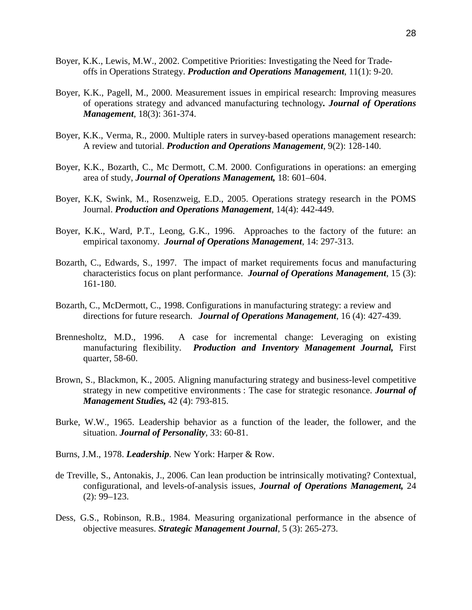- Boyer, K.K., Lewis, M.W., 2002. Competitive Priorities: Investigating the Need for Tradeoffs in Operations Strategy. *Production and Operations Management*, 11(1): 9-20.
- Boyer, K.K., Pagell, M., 2000. Measurement issues in empirical research: Improving measures of operations strategy and advanced manufacturing technology*. Journal of Operations Management*, 18(3): 361-374.
- Boyer, K.K., Verma, R., 2000. Multiple raters in survey-based operations management research: A review and tutorial. *Production and Operations Management*, 9(2): 128-140.
- Boyer, K.K., Bozarth, C., Mc Dermott, C.M. 2000. Configurations in operations: an emerging area of study, *Journal of Operations Management,* 18: 601–604.
- Boyer, K.K, Swink, M., Rosenzweig, E.D., 2005. Operations strategy research in the POMS Journal. *Production and Operations Management*, 14(4): 442-449.
- Boyer, K.K., Ward, P.T., Leong, G.K., 1996. Approaches to the factory of the future: an empirical taxonomy. *Journal of Operations Management*, 14: 297-313.
- Bozarth, C., Edwards, S., 1997. The impact of market requirements focus and manufacturing characteristics focus on plant performance. *Journal of Operations Management*, 15 (3): 161-180.
- Bozarth, C., McDermott, C., 1998. Configurations in manufacturing strategy: a review and directions for future research. *Journal of Operations Management*, 16 (4): 427-439.
- Brennesholtz, M.D., 1996. A case for incremental change: Leveraging on existing manufacturing flexibility. *Production and Inventory Management Journal,* First quarter, 58-60.
- Brown, S., Blackmon, K., 2005. Aligning manufacturing strategy and business-level competitive strategy in new competitive environments : The case for strategic resonance. *Journal of Management Studies,* 42 (4): 793-815.
- Burke, W.W., 1965. Leadership behavior as a function of the leader, the follower, and the situation. *Journal of Personality*, 33: 60-81.
- Burns, J.M., 1978. *Leadership*. New York: Harper & Row.
- [de Treville, S., Antonakis,](http://www.sciencedirect.com/science?_ob=ArticleURL&_udi=B6VF8-4VDH8V5-2&_user=2631791&_rdoc=1&_fmt=&_orig=search&_sort=d&_docanchor=&view=c&_acct=C000058329&_version=1&_urlVersion=0&_userid=2631791&md5=62b2748f447e3e4a480fdf88bda4a00a#bbib6) J., 2006. Can lean production be intrinsically motivating? Contextual, configurational, and levels-of-analysis issues, *Journal of Operations Management,* 24 (2): 99–123.
- Dess, G.S., Robinson, R.B., 1984. Measuring organizational performance in the absence of objective measures. *Strategic Management Journal*, 5 (3): 265-273.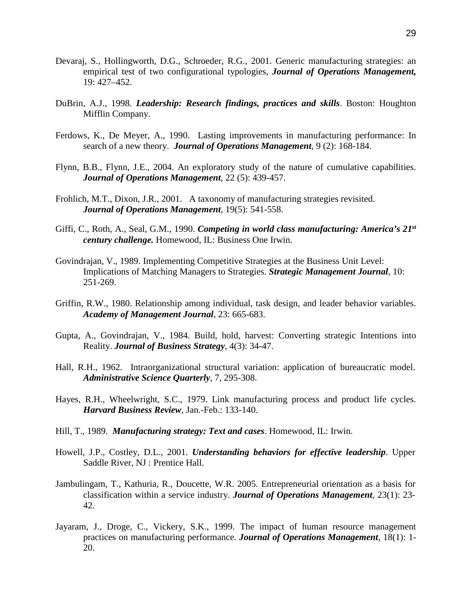- Devaraj, S., Hollingworth, D.G., Schroeder, R.G., 2001. Generic manufacturing strategies: an empirical test of two configurational typologies, *Journal of Operations Management,* 19: 427–452.
- DuBrin, A.J., 1998. *Leadership: Research findings, practices and skills*. Boston: Houghton Mifflin Company.
- Ferdows, K., De Meyer, A., 1990. Lasting improvements in manufacturing performance: In search of a new theory. *Journal of Operations Management*, 9 (2): 168-184.
- Flynn, B.B., Flynn, J.E., 2004. An exploratory study of the nature of cumulative capabilities. *Journal of Operations Management*, 22 (5): 439-457.
- Frohlich, M.T., Dixon, J.R., 2001. A taxonomy of manufacturing strategies revisited. *Journal of Operations Management*, 19(5): 541-558.
- Giffi, C., Roth, A., Seal, G.M., 1990. *Competing in world class manufacturing: America's 21st century challenge.* Homewood, IL: Business One Irwin.
- Govindrajan, V., 1989. Implementing Competitive Strategies at the Business Unit Level: Implications of Matching Managers to Strategies. *Strategic Management Journal*, 10: 251-269.
- Griffin, R.W., 1980. Relationship among individual, task design, and leader behavior variables. *Academy of Management Journal*, 23: 665-683.
- Gupta, A., Govindrajan, V., 1984. Build, hold, harvest: Converting strategic Intentions into Reality. *Journal of Business Strategy*, 4(3): 34-47.
- Hall, R.H., 1962. Intraorganizational structural variation: application of bureaucratic model. *Administrative Science Quarterly*, 7, 295-308.
- Hayes, R.H., Wheelwright, S.C., 1979. Link manufacturing process and product life cycles. *Harvard Business Review*, Jan.-Feb.: 133-140.
- Hill, T., 1989. *Manufacturing strategy: Text and cases*. Homewood, IL: Irwin.
- Howell, J.P., Costley, D.L., 2001. *Understanding behaviors for effective leadership*. Upper Saddle River, NJ : Prentice Hall.
- Jambulingam, T., Kathuria, R., Doucette, W.R. 2005. Entrepreneurial orientation as a basis for classification within a service industry. *Journal of Operations Management*, 23(1): 23- 42.
- Jayaram, J., Droge, C., Vickery, S.K., 1999. The impact of human resource management practices on manufacturing performance. *Journal of Operations Management*, 18(1): 1- 20.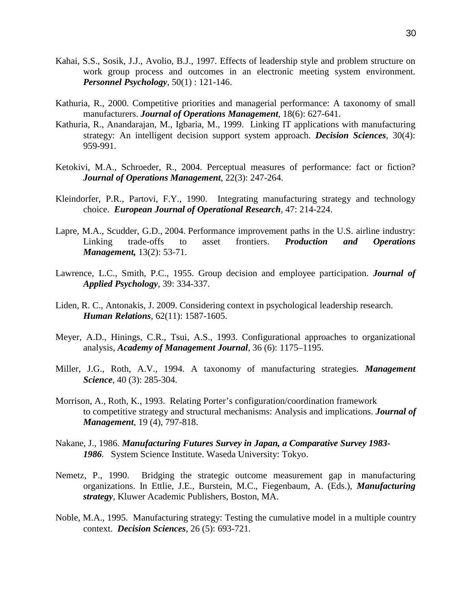- Kahai, S.S., Sosik, J.J., Avolio, B.J., 1997. Effects of leadership style and problem structure on work group process and outcomes in an electronic meeting system environment. *Personnel Psychology*, 50(1) : 121-146.
- Kathuria, R., 2000. Competitive priorities and managerial performance: A taxonomy of small manufacturers. *Journal of Operations Management*, 18(6): 627-641.
- Kathuria, R., Anandarajan, M., Igbaria, M., 1999. Linking IT applications with manufacturing strategy: An intelligent decision support system approach. *Decision Sciences*, 30(4): 959-991.
- Ketokivi, M.A., Schroeder, R., 2004. Perceptual measures of performance: fact or fiction? *Journal of Operations Management*, 22(3): 247-264.
- Kleindorfer, P.R., Partovi, F.Y., 1990. Integrating manufacturing strategy and technology choice. *European Journal of Operational Research*, 47: 214-224.
- Lapre, M.A., Scudder, G.D., 2004. Performance improvement paths in the U.S. airline industry: Linking trade-offs to asset frontiers. *Production and Operations Management,* 13(2): 53-71.
- Lawrence, L.C., Smith, P.C., 1955. Group decision and employee participation. *Journal of Applied Psychology*, 39: 334-337.
- Liden, R. C., Antonakis, J. 2009. Considering context in psychological leadership research. *Human Relations*, 62(11): 1587-1605.
- Meyer, A.D., Hinings, C.R., Tsui, A.S., 1993. Configurational approaches to organizational analysis, *Academy of Management Journal*, 36 (6): 1175–1195.
- Miller, J.G., Roth, A.V., 1994. A taxonomy of manufacturing strategies. *Management Science*, 40 (3): 285-304.
- Morrison, A., Roth, K., 1993. Relating Porter's configuration/coordination framework to competitive strategy and structural mechanisms: Analysis and implications. *Journal of Management*, 19 (4), 797-818.
- Nakane, J., 1986. *Manufacturing Futures Survey in Japan, a Comparative Survey 1983- 1986.* System Science Institute. Waseda University: Tokyo.
- Nemetz, P., 1990. Bridging the strategic outcome measurement gap in manufacturing organizations. In Ettlie, J.E., Burstein, M.C., Fiegenbaum, A. (Eds.), *Manufacturing strategy*, Kluwer Academic Publishers, Boston, MA.
- Noble, M.A., 1995. Manufacturing strategy: Testing the cumulative model in a multiple country context. *Decision Sciences*, 26 (5): 693-721.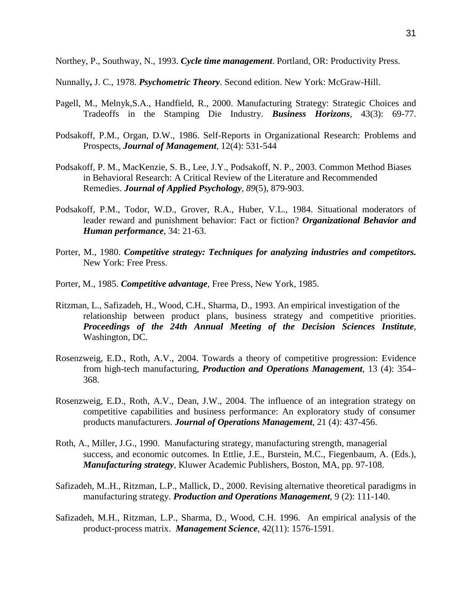Northey, P., Southway, N., 1993. *Cycle time management*. Portland, OR: Productivity Press.

Nunnally**,** J. C., 1978. *Psychometric Theory*. Second edition. New York: McGraw-Hill.

- Pagell, M., Melnyk,S.A., Handfield, R., 2000. Manufacturing Strategy: Strategic Choices and Tradeoffs in the Stamping Die Industry. *Business Horizons*, 43(3): 69-77.
- Podsakoff, P.M., Organ, D.W., 1986. Self-Reports in Organizational Research: Problems and Prospects, *Journal of Management,* 12(4): 531-544
- Podsakoff, P. M., MacKenzie, S. B., Lee, J.Y., Podsakoff, N. P., 2003. Common Method Biases in Behavioral Research: A Critical Review of the Literature and Recommended Remedies. *Journal of Applied Psychology, 89*(5), 879-903.
- Podsakoff, P.M., Todor, W.D., Grover, R.A., Huber, V.L., 1984. Situational moderators of leader reward and punishment behavior: Fact or fiction? *Organizational Behavior and Human performance*, 34: 21-63.
- Porter, M., 1980. *Competitive strategy: Techniques for analyzing industries and competitors.* New York: Free Press.
- Porter, M., 1985. *Competitive advantage*, Free Press, New York, 1985.
- Ritzman, L., Safizadeh, H., Wood, C.H., Sharma, D., 1993. An empirical investigation of the relationship between product plans, business strategy and competitive priorities. *Proceedings of the 24th Annual Meeting of the Decision Sciences Institute*, Washington, DC.
- Rosenzweig, E.D., Roth, A.V., 2004. Towards a theory of competitive progression: Evidence from high-tech manufacturing, *Production and Operations Management*, 13 (4): 354– 368.
- Rosenzweig, E.D., Roth, A.V., Dean, J.W., 2004. The influence of an integration strategy on competitive capabilities and business performance: An exploratory study of consumer products manufacturers. *Journal of Operations Management*, 21 (4): 437-456.
- Roth, A., Miller, J.G., 1990. Manufacturing strategy, manufacturing strength, managerial success, and economic outcomes. In Ettlie, J.E., Burstein, M.C., Fiegenbaum, A. (Eds.), *Manufacturing strategy*, Kluwer Academic Publishers, Boston, MA, pp. 97-108.
- Safizadeh, M..H., Ritzman, L.P., Mallick, D., 2000. Revising alternative theoretical paradigms in manufacturing strategy. *Production and Operations Management*, 9 (2): 111-140.
- Safizadeh, M.H., Ritzman, L.P., Sharma, D., Wood, C.H. 1996. An empirical analysis of the product-process matrix. *Management Science*, 42(11): 1576-1591.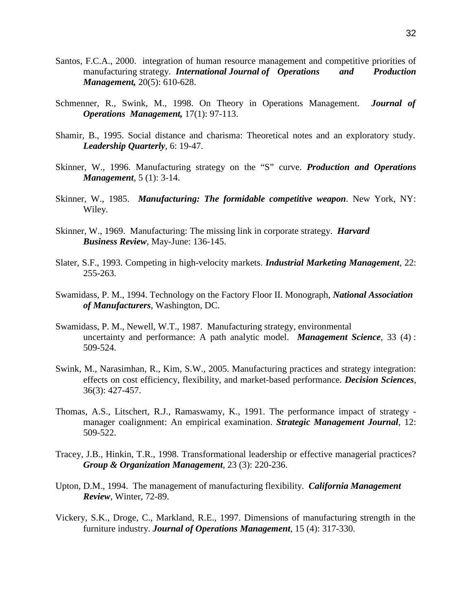- Santos, F.C.A., 2000. integration of human resource management and competitive priorities of manufacturing strategy. *International Journal of Operations and Production Management,* 20(5): 610-628.
- Schmenner, R., Swink, M., 1998. On Theory in Operations Management. *Journal of Operations Management,* 17(1): 97-113.
- Shamir, B., 1995. Social distance and charisma: Theoretical notes and an exploratory study. *Leadership Quarterly*, 6: 19-47.
- Skinner, W., 1996. Manufacturing strategy on the "S" curve. *Production and Operations Management*, 5 (1): 3-14.
- Skinner, W., 1985. *Manufacturing: The formidable competitive weapon*. New York, NY: Wiley.
- Skinner, W., 1969. Manufacturing: The missing link in corporate strategy. *Harvard Business Review*, May-June: 136-145.
- Slater, S.F., 1993. Competing in high-velocity markets. *Industrial Marketing Management*, 22: 255-263.
- Swamidass, P. M., 1994. Technology on the Factory Floor II. Monograph, *National Association of Manufacturers*, Washington, DC.
- Swamidass, P. M., Newell, W.T., 1987. Manufacturing strategy, environmental uncertainty and performance: A path analytic model. *Management Science*, 33 (4) : 509-524.
- Swink, M., Narasimhan, R., Kim, S.W., 2005. Manufacturing practices and strategy integration: effects on cost efficiency, flexibility, and market-based performance. *Decision Sciences*, 36(3): 427-457.
- Thomas, A.S., Litschert, R.J., Ramaswamy, K., 1991. The performance impact of strategy manager coalignment: An empirical examination. *Strategic Management Journal*, 12: 509-522.
- Tracey, J.B., Hinkin, T.R., 1998. Transformational leadership or effective managerial practices? *Group & Organization Management*, 23 (3): 220-236.
- Upton, D.M., 1994. The management of manufacturing flexibility. *California Management Review*, Winter, 72-89.
- Vickery, S.K., Droge, C., Markland, R.E., 1997. Dimensions of manufacturing strength in the furniture industry. *Journal of Operations Management*, 15 (4): 317-330.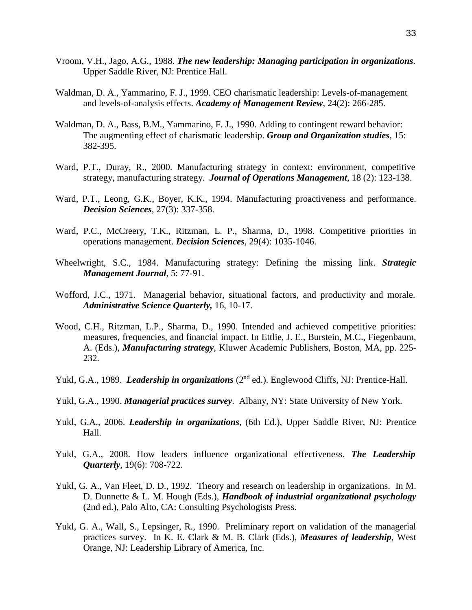- Vroom, V.H., Jago, A.G., 1988. *The new leadership: Managing participation in organizations*. Upper Saddle River, NJ: Prentice Hall.
- Waldman, D. A., Yammarino, F. J., 1999. CEO charismatic leadership: Levels-of-management and levels-of-analysis effects. *Academy of Management Review*, 24(2): 266-285.
- Waldman, D. A., Bass, B.M., Yammarino, F. J., 1990. Adding to contingent reward behavior: The augmenting effect of charismatic leadership. *Group and Organization studies*, 15: 382-395.
- Ward, P.T., Duray, R., 2000. Manufacturing strategy in context: environment, competitive strategy, manufacturing strategy. *Journal of Operations Management*, 18 (2): 123-138.
- Ward, P.T., Leong, G.K., Boyer, K.K., 1994. Manufacturing proactiveness and performance. *Decision Sciences*, 27(3): 337-358.
- Ward, P.C., McCreery, T.K., Ritzman, L. P., Sharma, D., 1998. Competitive priorities in operations management. *Decision Sciences*, 29(4): 1035-1046.
- Wheelwright, S.C., 1984. Manufacturing strategy: Defining the missing link. *Strategic Management Journal*, 5: 77-91.
- Wofford, J.C., 1971. Managerial behavior, situational factors, and productivity and morale. *Administrative Science Quarterly,* 16, 10-17.
- Wood, C.H., Ritzman, L.P., Sharma, D., 1990. Intended and achieved competitive priorities: measures, frequencies, and financial impact. In Ettlie, J. E., Burstein, M.C., Fiegenbaum, A. (Eds.), *Manufacturing strategy*, Kluwer Academic Publishers, Boston, MA, pp. 225- 232.
- Yukl, G.A., 1989. *Leadership in organizations* (2<sup>nd</sup> ed.). Englewood Cliffs, NJ: Prentice-Hall.
- Yukl, G.A., 1990. *Managerial practices survey*. Albany, NY: State University of New York.
- Yukl, G.A., 2006. *Leadership in organizations*, (6th Ed.), Upper Saddle River, NJ: Prentice Hall.
- Yukl, G.A., 2008. How leaders influence organizational effectiveness. *The Leadership Quarterly*, 19(6): 708-722.
- Yukl, G. A., Van Fleet, D. D., 1992. Theory and research on leadership in organizations. In M. D. Dunnette & L. M. Hough (Eds.), *Handbook of industrial organizational psychology* (2nd ed.), Palo Alto, CA: Consulting Psychologists Press.
- Yukl, G. A., Wall, S., Lepsinger, R., 1990. Preliminary report on validation of the managerial practices survey. In K. E. Clark & M. B. Clark (Eds.), *Measures of leadership*, West Orange, NJ: Leadership Library of America, Inc.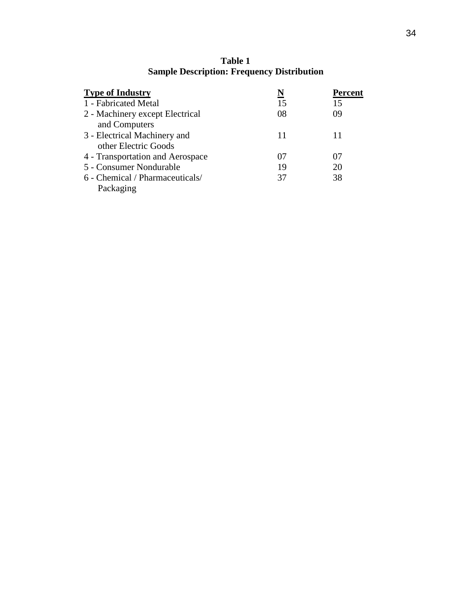| <b>Table 1</b>                                    |  |
|---------------------------------------------------|--|
| <b>Sample Description: Frequency Distribution</b> |  |

| <b>Type of Industry</b>          | N  | Percent |
|----------------------------------|----|---------|
| 1 - Fabricated Metal             | 15 | 15      |
| 2 - Machinery except Electrical  | 08 | 09      |
| and Computers                    |    |         |
| 3 - Electrical Machinery and     | 11 |         |
| other Electric Goods             |    |         |
| 4 - Transportation and Aerospace | 07 | 07      |
| 5 - Consumer Nondurable          | 19 | 20      |
| 6 - Chemical / Pharmaceuticals/  | 37 | 38      |
| Packaging                        |    |         |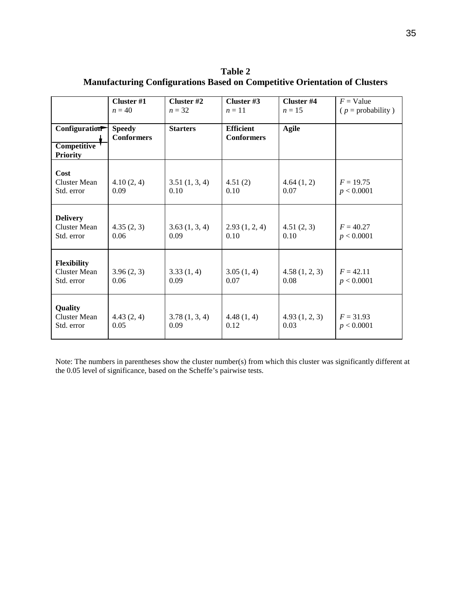**Table 2 Manufacturing Configurations Based on Competitive Orientation of Clusters**

|                                                        | Cluster #1<br>$n = 40$             | Cluster #2<br>$n = 32$ | Cluster $#3$<br>$n=11$                | Cluster #4<br>$n=15$  | $F =$ Value<br>$(p = probability)$ |
|--------------------------------------------------------|------------------------------------|------------------------|---------------------------------------|-----------------------|------------------------------------|
| Configuration<br><b>Competitive</b><br><b>Priority</b> | <b>Speedy</b><br><b>Conformers</b> | <b>Starters</b>        | <b>Efficient</b><br><b>Conformers</b> | <b>Agile</b>          |                                    |
| Cost<br><b>Cluster Mean</b><br>Std. error              | 4.10(2, 4)<br>0.09                 | 3.51(1, 3, 4)<br>0.10  | 4.51(2)<br>0.10                       | 4.64(1, 2)<br>0.07    | $F = 19.75$<br>p < 0.0001          |
| <b>Delivery</b><br><b>Cluster Mean</b><br>Std. error   | 4.35(2, 3)<br>0.06                 | 3.63(1, 3, 4)<br>0.09  | 2.93(1, 2, 4)<br>0.10                 | 4.51(2, 3)<br>0.10    | $F = 40.27$<br>p < 0.0001          |
| Flexibility<br><b>Cluster Mean</b><br>Std. error       | 3.96(2, 3)<br>0.06                 | 3.33(1,4)<br>0.09      | 3.05(1, 4)<br>0.07                    | 4.58(1, 2, 3)<br>0.08 | $F = 42.11$<br>p < 0.0001          |
| Quality<br><b>Cluster Mean</b><br>Std. error           | 4.43(2, 4)<br>0.05                 | 3.78(1, 3, 4)<br>0.09  | 4.48(1, 4)<br>0.12                    | 4.93(1, 2, 3)<br>0.03 | $F = 31.93$<br>p < 0.0001          |

Note: The numbers in parentheses show the cluster number(s) from which this cluster was significantly different at the 0.05 level of significance, based on the Scheffe's pairwise tests.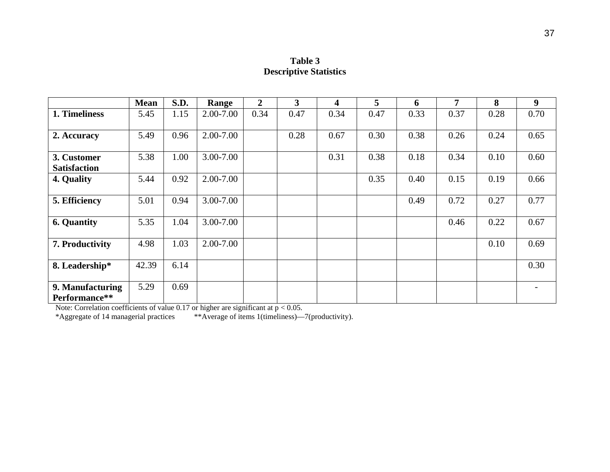### **Table 3 Descriptive Statistics**

|                                    | <b>Mean</b> | S.D. | Range     | $\overline{2}$ | 3    | 4    | 5    | 6    | $\overline{7}$ | 8    | 9 <sup>°</sup> |
|------------------------------------|-------------|------|-----------|----------------|------|------|------|------|----------------|------|----------------|
| 1. Timeliness                      | 5.45        | 1.15 | 2.00-7.00 | 0.34           | 0.47 | 0.34 | 0.47 | 0.33 | 0.37           | 0.28 | 0.70           |
| 2. Accuracy                        | 5.49        | 0.96 | 2.00-7.00 |                | 0.28 | 0.67 | 0.30 | 0.38 | 0.26           | 0.24 | 0.65           |
| 3. Customer<br><b>Satisfaction</b> | 5.38        | 1.00 | 3.00-7.00 |                |      | 0.31 | 0.38 | 0.18 | 0.34           | 0.10 | 0.60           |
| 4. Quality                         | 5.44        | 0.92 | 2.00-7.00 |                |      |      | 0.35 | 0.40 | 0.15           | 0.19 | 0.66           |
| 5. Efficiency                      | 5.01        | 0.94 | 3.00-7.00 |                |      |      |      | 0.49 | 0.72           | 0.27 | 0.77           |
| <b>6. Quantity</b>                 | 5.35        | 1.04 | 3.00-7.00 |                |      |      |      |      | 0.46           | 0.22 | 0.67           |
| 7. Productivity                    | 4.98        | 1.03 | 2.00-7.00 |                |      |      |      |      |                | 0.10 | 0.69           |
| 8. Leadership*                     | 42.39       | 6.14 |           |                |      |      |      |      |                |      | 0.30           |
| 9. Manufacturing<br>Performance**  | 5.29        | 0.69 |           |                |      |      |      |      |                |      |                |

Note: Correlation coefficients of value  $0.17$  or higher are significant at  $p < 0.05$ .

\*Aggregate of 14 managerial practices \*\*Average of items 1(timeliness)—7(productivity).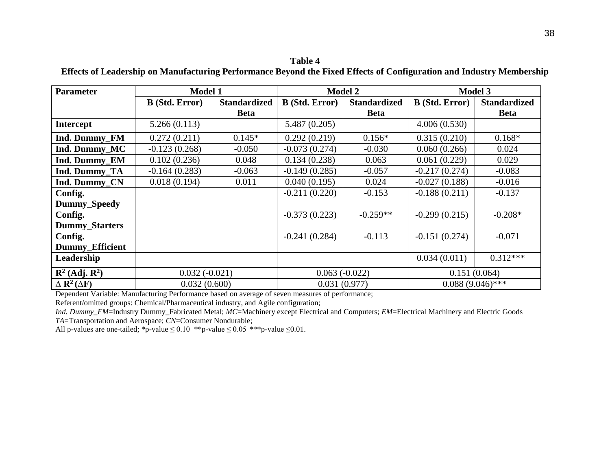**Table 4 Effects of Leadership on Manufacturing Performance Beyond the Fixed Effects of Configuration and Industry Membership**

| <b>Parameter</b>                      | <b>Model 1</b>        |                     |                       | <b>Model 2</b>      | <b>Model 3</b>        |                     |
|---------------------------------------|-----------------------|---------------------|-----------------------|---------------------|-----------------------|---------------------|
|                                       | <b>B</b> (Std. Error) | <b>Standardized</b> | <b>B</b> (Std. Error) | <b>Standardized</b> | <b>B</b> (Std. Error) | <b>Standardized</b> |
|                                       |                       | <b>Beta</b>         |                       | <b>Beta</b>         |                       | <b>Beta</b>         |
| <b>Intercept</b>                      | 5.266(0.113)          |                     | 5.487(0.205)          |                     | 4.006(0.530)          |                     |
| Ind. Dummy_FM                         | 0.272(0.211)          | $0.145*$            | 0.292(0.219)          | $0.156*$            | 0.315(0.210)          | $0.168*$            |
| <b>Ind. Dummy_MC</b>                  | $-0.123(0.268)$       | $-0.050$            | $-0.073(0.274)$       | $-0.030$            | 0.060(0.266)          | 0.024               |
| Ind. Dummy_EM                         | 0.102(0.236)          | 0.048               | 0.134(0.238)          | 0.063               | 0.061(0.229)          | 0.029               |
| Ind. Dummy_TA                         | $-0.164(0.283)$       | $-0.063$            | $-0.149(0.285)$       | $-0.057$            | $-0.217(0.274)$       | $-0.083$            |
| Ind. Dummy_CN                         | 0.018(0.194)          | 0.011               | 0.040(0.195)          | 0.024               | $-0.027(0.188)$       | $-0.016$            |
| Config.                               |                       |                     | $-0.211(0.220)$       | $-0.153$            | $-0.188(0.211)$       | $-0.137$            |
| <b>Dummy_Speedy</b>                   |                       |                     |                       |                     |                       |                     |
| Config.                               |                       |                     | $-0.373(0.223)$       | $-0.259**$          | $-0.299(0.215)$       | $-0.208*$           |
| <b>Dummy_Starters</b>                 |                       |                     |                       |                     |                       |                     |
| Config.                               |                       |                     | $-0.241(0.284)$       | $-0.113$            | $-0.151(0.274)$       | $-0.071$            |
| Dummy_Efficient                       |                       |                     |                       |                     |                       |                     |
| Leadership                            |                       |                     |                       |                     | 0.034(0.011)          | $0.312***$          |
| $\mathbf{R}^2$ (Adj. $\mathbf{R}^2$ ) | $0.032(-0.021)$       |                     | $0.063(-0.022)$       |                     | 0.151(0.064)          |                     |
| $\Delta$ R <sup>2</sup> ( $\Delta$ F) | 0.032(0.600)          |                     | 0.031(0.977)          |                     | $0.088(9.046)$ ***    |                     |

Dependent Variable: Manufacturing Performance based on average of seven measures of performance;

Referent/omitted groups: Chemical/Pharmaceutical industry, and Agile configuration;

*Ind. Dummy\_FM*=Industry Dummy\_Fabricated Metal; *MC*=Machinery except Electrical and Computers; *EM*=Electrical Machinery and Electric Goods *TA*=Transportation and Aerospace; *CN*=Consumer Nondurable;

All p-values are one-tailed; \*p-value  $\leq 0.10$  \*\*p-value  $\leq 0.05$  \*\*\*p-value  $\leq 0.01$ .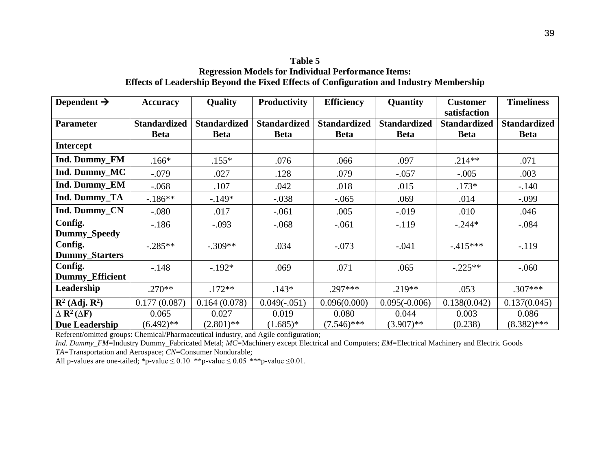**Table 5 Regression Models for Individual Performance Items: Effects of Leadership Beyond the Fixed Effects of Configuration and Industry Membership**

| Dependent $\rightarrow$               | <b>Accuracy</b>     | <b>Quality</b>      | <b>Productivity</b> | <b>Efficiency</b>   | Quantity            | <b>Customer</b>     | <b>Timeliness</b>   |
|---------------------------------------|---------------------|---------------------|---------------------|---------------------|---------------------|---------------------|---------------------|
|                                       |                     |                     |                     |                     |                     | satisfaction        |                     |
| <b>Parameter</b>                      | <b>Standardized</b> | <b>Standardized</b> | <b>Standardized</b> | <b>Standardized</b> | <b>Standardized</b> | <b>Standardized</b> | <b>Standardized</b> |
|                                       | <b>Beta</b>         | <b>Beta</b>         | <b>Beta</b>         | <b>Beta</b>         | <b>Beta</b>         | <b>Beta</b>         | <b>Beta</b>         |
| Intercept                             |                     |                     |                     |                     |                     |                     |                     |
| <b>Ind. Dummy_FM</b>                  | $.166*$             | $.155*$             | .076                | .066                | .097                | $.214**$            | .071                |
| <b>Ind. Dummy_MC</b>                  | $-.079$             | .027                | .128                | .079                | $-.057$             | $-.005$             | .003                |
| <b>Ind. Dummy_EM</b>                  | $-.068$             | .107                | .042                | .018                | .015                | $.173*$             | $-.140$             |
| <b>Ind. Dummy_TA</b>                  | $-186**$            | $-149*$             | $-.038$             | $-.065$             | .069                | .014                | $-.099$             |
| Ind. Dummy_CN                         | $-.080$             | .017                | $-.061$             | .005                | $-0.019$            | .010                | .046                |
| Config.                               | $-186$              | $-.093$             | $-.068$             | $-.061$             | $-.119$             | $-.244*$            | $-.084$             |
| <b>Dummy_Speedy</b>                   |                     |                     |                     |                     |                     |                     |                     |
| Config.                               | $-.285**$           | $-.309**$           | .034                | $-.073$             | $-.041$             | $-415***$           | $-119$              |
| <b>Dummy_Starters</b>                 |                     |                     |                     |                     |                     |                     |                     |
| Config.                               | $-.148$             | $-.192*$            | .069                | .071                | .065                | $-.225**$           | $-.060$             |
| Dummy_Efficient                       |                     |                     |                     |                     |                     |                     |                     |
| Leadership                            | $.270**$            | $.172**$            | $.143*$             | $.297***$           | $.219**$            | .053                | $.307***$           |
| $\mathbf{R}^2$ (Adj. $\mathbf{R}^2$ ) | 0.177(0.087)        | 0.164(0.078)        | $0.049(-051)$       | 0.096(0.000)        | $0.095(-0.006)$     | 0.138(0.042)        | 0.137(0.045)        |
| $\triangle R^2(\triangle F)$          | 0.065               | 0.027               | 0.019               | 0.080               | 0.044               | 0.003               | 0.086               |
| <b>Due Leadership</b>                 | $(6.492)$ **        | $(2.801)$ **        | $(1.685)*$          | $(7.546)$ ***       | $(3.907)$ **        | (0.238)             | $(8.382)$ ***       |

Referent/omitted groups: Chemical/Pharmaceutical industry, and Agile configuration;

*Ind. Dummy\_FM*=Industry Dummy\_Fabricated Metal; *MC*=Machinery except Electrical and Computers; *EM*=Electrical Machinery and Electric Goods

*TA*=Transportation and Aerospace; *CN*=Consumer Nondurable;

All p-values are one-tailed; \*p-value  $\leq 0.10$  \*\*p-value  $\leq 0.05$  \*\*\*p-value  $\leq 0.01$ .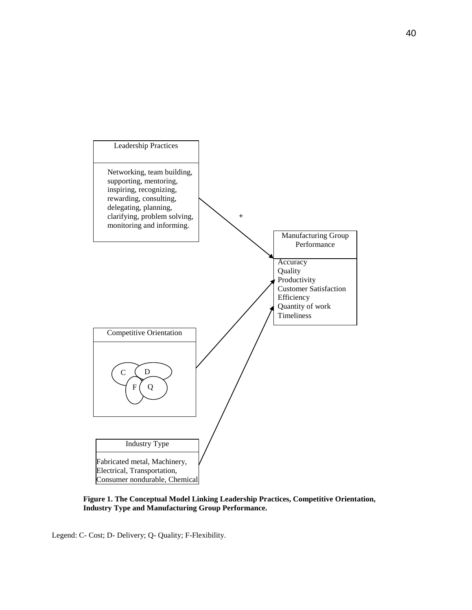

**Figure 1. The Conceptual Model Linking Leadership Practices, Competitive Orientation, Industry Type and Manufacturing Group Performance.**

Legend: C- Cost; D- Delivery; Q- Quality; F-Flexibility.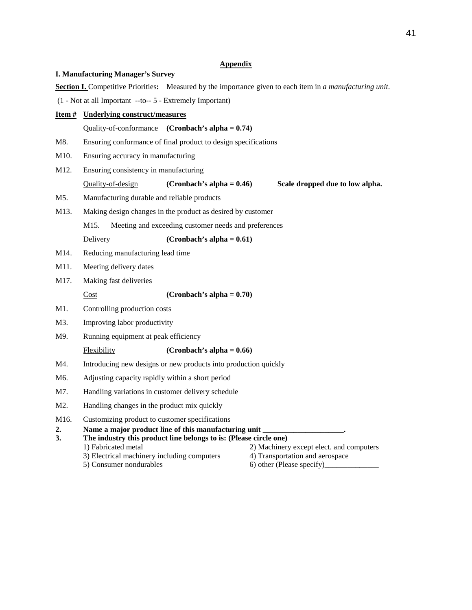### **Appendix**

### **I. Manufacturing Manager's Survey**

**Section I.** Competitive Priorities**:** Measured by the importance given to each item in *a manufacturing unit*.

(1 - Not at all Important --to-- 5 - Extremely Important)

| Item #            | Underlying construct/measures                                                                                        |                                                                                                                           |                                                                             |  |  |  |
|-------------------|----------------------------------------------------------------------------------------------------------------------|---------------------------------------------------------------------------------------------------------------------------|-----------------------------------------------------------------------------|--|--|--|
|                   |                                                                                                                      | Quality-of-conformance $(Chobach's alpha = 0.74)$                                                                         |                                                                             |  |  |  |
| M8.               |                                                                                                                      | Ensuring conformance of final product to design specifications                                                            |                                                                             |  |  |  |
| M <sub>10</sub> . | Ensuring accuracy in manufacturing                                                                                   |                                                                                                                           |                                                                             |  |  |  |
| M12.              | Ensuring consistency in manufacturing                                                                                |                                                                                                                           |                                                                             |  |  |  |
|                   | Quality-of-design                                                                                                    | (Cronbach's alpha = $0.46$ )                                                                                              | Scale dropped due to low alpha.                                             |  |  |  |
| M5.               | Manufacturing durable and reliable products                                                                          |                                                                                                                           |                                                                             |  |  |  |
| M13.              |                                                                                                                      | Making design changes in the product as desired by customer                                                               |                                                                             |  |  |  |
|                   | M15.                                                                                                                 | Meeting and exceeding customer needs and preferences                                                                      |                                                                             |  |  |  |
|                   | Delivery                                                                                                             | (Cronbach's alpha = $0.61$ )                                                                                              |                                                                             |  |  |  |
| M14.              | Reducing manufacturing lead time                                                                                     |                                                                                                                           |                                                                             |  |  |  |
| M11.              | Meeting delivery dates                                                                                               |                                                                                                                           |                                                                             |  |  |  |
| M17.              | Making fast deliveries                                                                                               |                                                                                                                           |                                                                             |  |  |  |
|                   | Cost                                                                                                                 | (Cronbach's alpha = $0.70$ )                                                                                              |                                                                             |  |  |  |
| M1.               | Controlling production costs                                                                                         |                                                                                                                           |                                                                             |  |  |  |
| M3.               | Improving labor productivity                                                                                         |                                                                                                                           |                                                                             |  |  |  |
| M9.               | Running equipment at peak efficiency                                                                                 |                                                                                                                           |                                                                             |  |  |  |
|                   | Flexibility                                                                                                          | (Cronbach's alpha = $0.66$ )                                                                                              |                                                                             |  |  |  |
| M4.               |                                                                                                                      | Introducing new designs or new products into production quickly                                                           |                                                                             |  |  |  |
| M6.               | Adjusting capacity rapidly within a short period                                                                     |                                                                                                                           |                                                                             |  |  |  |
| M7.               | Handling variations in customer delivery schedule                                                                    |                                                                                                                           |                                                                             |  |  |  |
| M2.               | Handling changes in the product mix quickly                                                                          |                                                                                                                           |                                                                             |  |  |  |
| M16.<br>2.<br>3.  | Customizing product to customer specifications<br>1) Fabricated metal<br>3) Electrical machinery including computers | Name a major product line of this manufacturing unit<br>The industry this product line belongs to is: (Please circle one) | 2) Machinery except elect. and computers<br>4) Transportation and aerospace |  |  |  |
|                   | 5) Consumer nondurables                                                                                              |                                                                                                                           | 6) other (Please specify)                                                   |  |  |  |